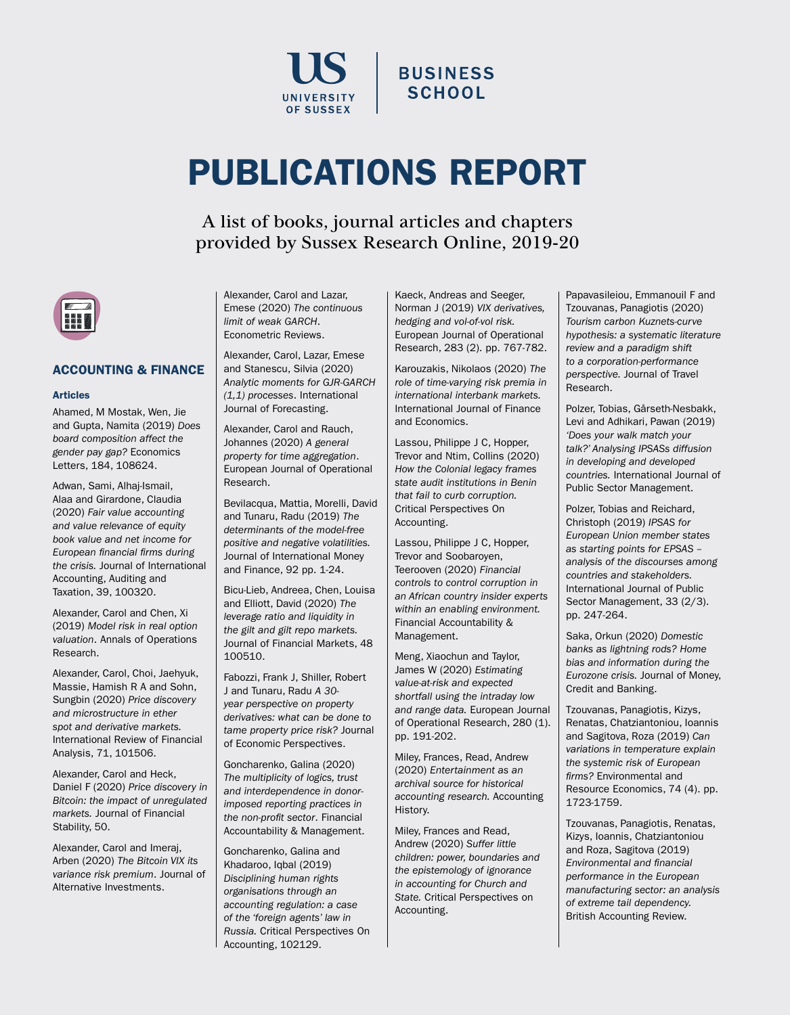

# **BUSINESS SCHOOL**

# PUBLICATIONS REPORT

A list of books, journal articles and chapters provided by Sussex Research Online, 2019-20



# ACCOUNTING & FINANCE

#### Articles

Ahamed, M Mostak, Wen, Jie and Gupta, Namita (2019) *Does board composition affect the gender pay gap?* Economics Letters, 184, 108624.

Adwan, Sami, Alhaj-Ismail, Alaa and Girardone, Claudia (2020) *Fair value accounting and value relevance of equity book value and net income for European financial firms during the crisis.* Journal of International Accounting, Auditing and Taxation, 39, 100320.

Alexander, Carol and Chen, Xi (2019) *Model risk in real option valuation*. Annals of Operations Research.

Alexander, Carol, Choi, Jaehyuk, Massie, Hamish R A and Sohn, Sungbin (2020) *Price discovery and microstructure in ether spot and derivative markets.* International Review of Financial Analysis, 71, 101506.

Alexander, Carol and Heck, Daniel F (2020) *Price discovery in Bitcoin: the impact of unregulated markets.* Journal of Financial Stability, 50.

Alexander, Carol and Imeraj, Arben (2020) *The Bitcoin VIX its variance risk premium*. Journal of Alternative Investments.

Alexander, Carol and Lazar, Emese (2020) *The continuous limit of weak GARCH*. Econometric Reviews.

Alexander, Carol, Lazar, Emese and Stanescu, Silvia (2020) *Analytic moments for GJR-GARCH (1,1) processes*. International Journal of Forecasting.

Alexander, Carol and Rauch, Johannes (2020) *A general property for time aggregation*. European Journal of Operational Research.

Bevilacqua, Mattia, Morelli, David and Tunaru, Radu (2019) *The determinants of the model-free positive and negative volatilities.* Journal of International Money and Finance, 92 pp. 1-24.

Bicu-Lieb, Andreea, Chen, Louisa and Elliott, David (2020) *The leverage ratio and liquidity in the gilt and gilt repo markets.* Journal of Financial Markets, 48 100510.

Fabozzi, Frank J, Shiller, Robert J and Tunaru, Radu *A 30 year perspective on property derivatives: what can be done to tame property price risk?* Journal of Economic Perspectives.

Goncharenko, Galina (2020) *The multiplicity of logics, trust and interdependence in donorimposed reporting practices in the non-profit sector*. Financial Accountability & Management.

Goncharenko, Galina and Khadaroo, Iqbal (2019) *Disciplining human rights organisations through an accounting regulation: a case of the 'foreign agents' law in Russia.* Critical Perspectives On Accounting, 102129.

Kaeck, Andreas and Seeger, Norman J (2019) *VIX derivatives, hedging and vol-of-vol risk.* European Journal of Operational Research, 283 (2). pp. 767-782.

Karouzakis, Nikolaos (2020) *The role of time-varying risk premia in international interbank markets.*  International Journal of Finance and Economics.

Lassou, Philippe J C, Hopper, Trevor and Ntim, Collins (2020) *How the Colonial legacy frames state audit institutions in Benin that fail to curb corruption.* Critical Perspectives On Accounting.

Lassou, Philippe J C, Hopper, Trevor and Soobaroyen, Teerooven (2020) *Financial controls to control corruption in an African country insider experts within an enabling environment.* Financial Accountability & Management.

Meng, Xiaochun and Taylor, James W (2020) *Estimating value-at-risk and expected shortfall using the intraday low and range data.* European Journal of Operational Research, 280 (1). pp. 191-202.

Miley, Frances, Read, Andrew (2020) *Entertainment as an archival source for historical accounting research.* Accounting History.

Miley, Frances and Read, Andrew (2020) *Suffer little children: power, boundaries and the epistemology of ignorance in accounting for Church and State.* Critical Perspectives on Accounting.

Papavasileiou, Emmanouil F and Tzouvanas, Panagiotis (2020) *Tourism carbon Kuznets-curve hypothesis: a systematic literature review and a paradigm shift to a corporation-performance perspective.* Journal of Travel Research.

Polzer, Tobias, Gårseth-Nesbakk, Levi and Adhikari, Pawan (2019) *'Does your walk match your talk?' Analysing IPSASs diffusion in developing and developed countries.* International Journal of Public Sector Management.

Polzer, Tobias and Reichard, Christoph (2019) *IPSAS for European Union member states as starting points for EPSAS – analysis of the discourses among countries and stakeholders.* International Journal of Public Sector Management, 33 (2/3). pp. 247-264.

Saka, Orkun (2020) *Domestic banks as lightning rods? Home bias and information during the Eurozone crisis.* Journal of Money, Credit and Banking.

Tzouvanas, Panagiotis, Kizys, Renatas, Chatziantoniou, Ioannis and Sagitova, Roza (2019) *Can variations in temperature explain the systemic risk of European firms?* Environmental and Resource Economics, 74 (4). pp. 1723-1759.

Tzouvanas, Panagiotis, Renatas, Kizys, Ioannis, Chatziantoniou and Roza, Sagitova (2019) *Environmental and financial performance in the European manufacturing sector: an analysis of extreme tail dependency.* British Accounting Review.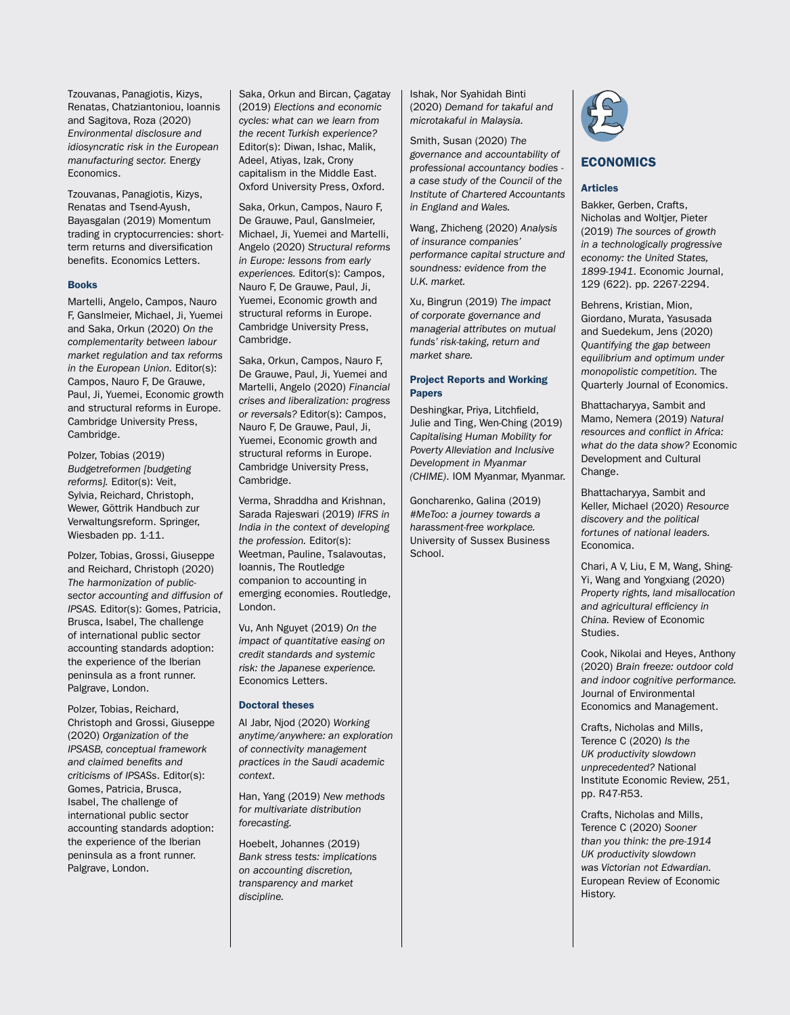Tzouvanas, Panagiotis, Kizys, Renatas, Chatziantoniou, Ioannis and Sagitova, Roza (2020) *Environmental disclosure and idiosyncratic risk in the European manufacturing sector.* Energy Economics.

Tzouvanas, Panagiotis, Kizys, Renatas and Tsend-Ayush, Bayasgalan (2019) Momentum trading in cryptocurrencies: shortterm returns and diversification benefits. Economics Letters.

#### Books

Martelli, Angelo, Campos, Nauro F, Ganslmeier, Michael, Ji, Yuemei and Saka, Orkun (2020) *On the complementarity between labour market regulation and tax reforms in the European Union.* Editor(s): Campos, Nauro F, De Grauwe, Paul, Ji, Yuemei, Economic growth and structural reforms in Europe. Cambridge University Press, Cambridge.

Polzer, Tobias (2019) *Budgetreformen [budgeting reforms].* Editor(s): Veit, Sylvia, Reichard, Christoph, Wewer, Göttrik Handbuch zur Verwaltungsreform. Springer, Wiesbaden pp. 1-11.

Polzer, Tobias, Grossi, Giuseppe and Reichard, Christoph (2020) *The harmonization of publicsector accounting and diffusion of IPSAS.* Editor(s): Gomes, Patricia, Brusca, Isabel, The challenge of international public sector accounting standards adoption: the experience of the Iberian peninsula as a front runner. Palgrave, London.

Polzer, Tobias, Reichard, Christoph and Grossi, Giuseppe (2020) *Organization of the IPSASB, conceptual framework and claimed benefits and criticisms of IPSASs*. Editor(s): Gomes, Patricia, Brusca, Isabel, The challenge of international public sector accounting standards adoption: the experience of the Iberian peninsula as a front runner. Palgrave, London.

Saka, Orkun and Bircan, Çagatay (2019) *Elections and economic cycles: what can we learn from the recent Turkish experience?* Editor(s): Diwan, Ishac, Malik, Adeel, Atiyas, Izak, Crony capitalism in the Middle East. Oxford University Press, Oxford.

Saka, Orkun, Campos, Nauro F, De Grauwe, Paul, Ganslmeier, Michael, Ji, Yuemei and Martelli, Angelo (2020) *Structural reforms in Europe: lessons from early experiences.* Editor(s): Campos, Nauro F, De Grauwe, Paul, Ji, Yuemei, Economic growth and structural reforms in Europe. Cambridge University Press, Cambridge.

Saka, Orkun, Campos, Nauro F, De Grauwe, Paul, Ji, Yuemei and Martelli, Angelo (2020) *Financial crises and liberalization: progress or reversals?* Editor(s): Campos, Nauro F, De Grauwe, Paul, Ji, Yuemei, Economic growth and structural reforms in Europe. Cambridge University Press, Cambridge.

Verma, Shraddha and Krishnan, Sarada Rajeswari (2019) *IFRS in India in the context of developing the profession.* Editor(s): Weetman, Pauline, Tsalavoutas, Ioannis, The Routledge companion to accounting in emerging economies. Routledge, London.

Vu, Anh Nguyet (2019) *On the impact of quantitative easing on credit standards and systemic risk: the Japanese experience.* Economics Letters.

#### Doctoral theses

Al Jabr, Njod (2020) *Working anytime/anywhere: an exploration of connectivity management practices in the Saudi academic context*.

Han, Yang (2019) *New methods for multivariate distribution forecasting.*

Hoebelt, Johannes (2019) *Bank stress tests: implications on accounting discretion, transparency and market discipline.*

Ishak, Nor Syahidah Binti (2020) *Demand for takaful and microtakaful in Malaysia.*

Smith, Susan (2020) *The governance and accountability of professional accountancy bodies a case study of the Council of the Institute of Chartered Accountants in England and Wales.*

Wang, Zhicheng (2020) *Analysis of insurance companies' performance capital structure and soundness: evidence from the U.K. market.*

Xu, Bingrun (2019) *The impact of corporate governance and managerial attributes on mutual funds' risk-taking, return and market share.*

#### Project Reports and Working Papers

Deshingkar, Priya, Litchfield, Julie and Ting, Wen-Ching (2019) *Capitalising Human Mobility for Poverty Alleviation and Inclusive Development in Myanmar (CHIME)*. IOM Myanmar, Myanmar.

Goncharenko, Galina (2019) *#MeToo: a journey towards a harassment-free workplace.* University of Sussex Business School.



# **ECONOMICS**

#### Articles

Bakker, Gerben, Crafts, Nicholas and Woltjer, Pieter (2019) *The sources of growth in a technologically progressive economy: the United States, 1899-1941*. Economic Journal, 129 (622). pp. 2267-2294.

Behrens, Kristian, Mion, Giordano, Murata, Yasusada and Suedekum, Jens (2020) *Quantifying the gap between equilibrium and optimum under monopolistic competition.* The Quarterly Journal of Economics.

Bhattacharyya, Sambit and Mamo, Nemera (2019) *Natural resources and conflict in Africa: what do the data show?* Economic Development and Cultural Change.

Bhattacharyya, Sambit and Keller, Michael (2020) *Resource discovery and the political fortunes of national leaders.* Economica.

Chari, A V, Liu, E M, Wang, Shing-Yi, Wang and Yongxiang (2020) *Property rights, land misallocation and agricultural efficiency in China.* Review of Economic Studies.

Cook, Nikolai and Heyes, Anthony (2020) *Brain freeze: outdoor cold and indoor cognitive performance.* Journal of Environmental Economics and Management.

Crafts, Nicholas and Mills, Terence C (2020) *Is the UK productivity slowdown unprecedented?* National Institute Economic Review, 251, pp. R47-R53.

Crafts, Nicholas and Mills, Terence C (2020) *Sooner than you think: the pre-1914 UK productivity slowdown was Victorian not Edwardian.* European Review of Economic History.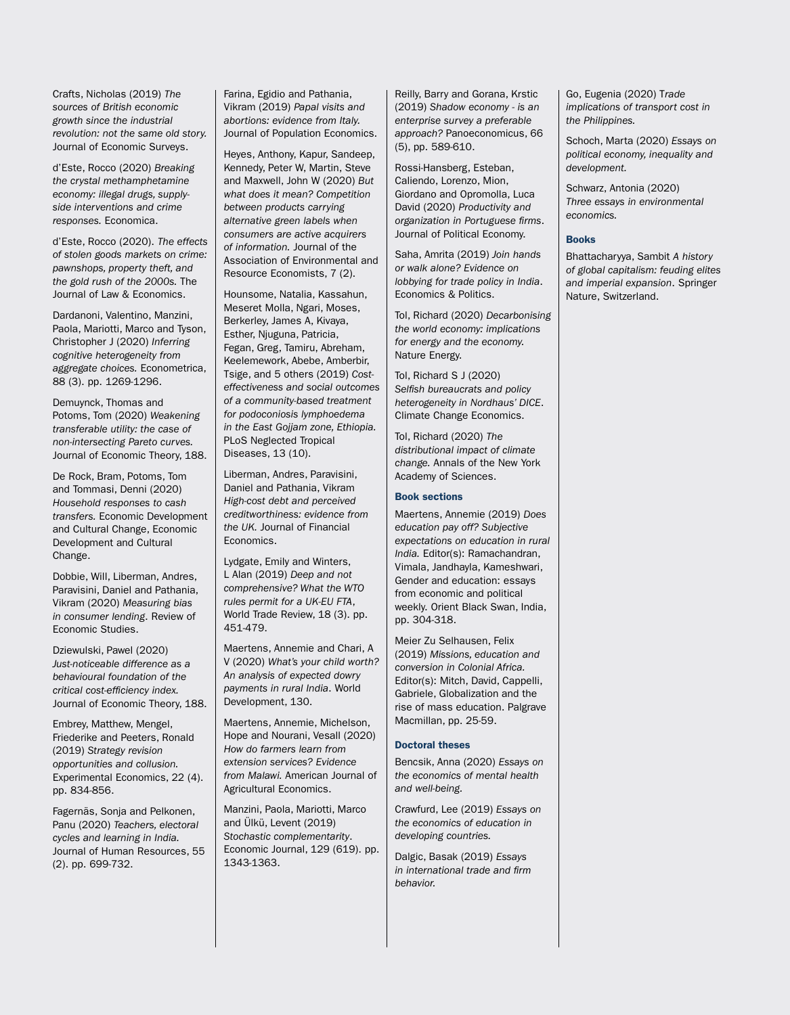Crafts, Nicholas (2019) *The sources of British economic growth since the industrial revolution: not the same old story.* Journal of Economic Surveys.

d'Este, Rocco (2020) *Breaking the crystal methamphetamine economy: illegal drugs, supplyside interventions and crime responses.* Economica.

d'Este, Rocco (2020). *The effects of stolen goods markets on crime: pawnshops, property theft, and the gold rush of the 2000s.* The Journal of Law & Economics.

Dardanoni, Valentino, Manzini, Paola, Mariotti, Marco and Tyson, Christopher J (2020) *Inferring cognitive heterogeneity from aggregate choices.* Econometrica, 88 (3). pp. 1269-1296.

Demuynck, Thomas and Potoms, Tom (2020) *Weakening transferable utility: the case of non-intersecting Pareto curves.* Journal of Economic Theory, 188.

De Rock, Bram, Potoms, Tom and Tommasi, Denni (2020) *Household responses to cash transfers.* Economic Development and Cultural Change, Economic Development and Cultural Change.

Dobbie, Will, Liberman, Andres, Paravisini, Daniel and Pathania, Vikram (2020) *Measuring bias in consumer lending*. Review of Economic Studies.

Dziewulski, Pawel (2020) *Just-noticeable difference as a behavioural foundation of the critical cost-efficiency index.* Journal of Economic Theory, 188.

Embrey, Matthew, Mengel, Friederike and Peeters, Ronald (2019) *Strategy revision opportunities and collusion.* Experimental Economics, 22 (4). pp. 834-856.

Fagernäs, Sonja and Pelkonen, Panu (2020) *Teachers, electoral cycles and learning in India.* Journal of Human Resources, 55 (2). pp. 699-732.

Farina, Egidio and Pathania, Vikram (2019) *Papal visits and abortions: evidence from Italy.* Journal of Population Economics.

Heyes, Anthony, Kapur, Sandeep, Kennedy, Peter W, Martin, Steve and Maxwell, John W (2020) *But what does it mean? Competition between products carrying alternative green labels when consumers are active acquirers of information.* Journal of the Association of Environmental and Resource Economists, 7 (2).

Hounsome, Natalia, Kassahun, Meseret Molla, Ngari, Moses, Berkerley, James A, Kivaya, Esther, Njuguna, Patricia, Fegan, Greg, Tamiru, Abreham, Keelemework, Abebe, Amberbir, Tsige, and 5 others (2019) *Costeffectiveness and social outcomes of a community-based treatment for podoconiosis lymphoedema in the East Gojjam zone, Ethiopia.* PLoS Neglected Tropical Diseases, 13 (10).

Liberman, Andres, Paravisini, Daniel and Pathania, Vikram *High-cost debt and perceived creditworthiness: evidence from the UK.* Journal of Financial Economics.

Lydgate, Emily and Winters, L Alan (2019) *Deep and not comprehensive? What the WTO rules permit for a UK-EU FTA*, World Trade Review, 18 (3). pp. 451-479.

Maertens, Annemie and Chari, A V (2020) *What's your child worth? An analysis of expected dowry payments in rural India*. World Development, 130.

Maertens, Annemie, Michelson, Hope and Nourani, Vesall (2020) *How do farmers learn from extension services? Evidence from Malawi.* American Journal of Agricultural Economics.

Manzini, Paola, Mariotti, Marco and Ülkü, Levent (2019) *Stochastic complementarity*. Economic Journal, 129 (619). pp. 1343-1363.

Reilly, Barry and Gorana, Krstic (2019) *Shadow economy - is an enterprise survey a preferable approach?* Panoeconomicus, 66 (5), pp. 589-610.

Rossi-Hansberg, Esteban, Caliendo, Lorenzo, Mion, Giordano and Opromolla, Luca David (2020) *Productivity and organization in Portuguese firms*. Journal of Political Economy.

Saha, Amrita (2019) *Join hands or walk alone? Evidence on lobbying for trade policy in India*. Economics & Politics.

Tol, Richard (2020) *Decarbonising the world economy: implications for energy and the economy.* Nature Energy.

Tol, Richard S J (2020) *Selfish bureaucrats and policy heterogeneity in Nordhaus' DICE*. Climate Change Economics.

Tol, Richard (2020) *The distributional impact of climate change.* Annals of the New York Academy of Sciences.

#### Book sections

Maertens, Annemie (2019) *Does education pay off? Subjective expectations on education in rural India.* Editor(s): Ramachandran, Vimala, Jandhayla, Kameshwari, Gender and education: essays from economic and political weekly. Orient Black Swan, India, pp. 304-318.

Meier Zu Selhausen, Felix (2019) *Missions, education and conversion in Colonial Africa.*  Editor(s): Mitch, David, Cappelli, Gabriele, Globalization and the rise of mass education. Palgrave Macmillan, pp. 25-59.

#### Doctoral theses

Bencsik, Anna (2020) *Essays on the economics of mental health and well-being.*

Crawfurd, Lee (2019) *Essays on the economics of education in developing countries.*

Dalgic, Basak (2019) *Essays in international trade and firm behavior.*

Go, Eugenia (2020) T*rade implications of transport cost in the Philippines.*

Schoch, Marta (2020) *Essays on political economy, inequality and development.*

Schwarz, Antonia (2020) *Three essays in environmental economics.*

#### Books

Bhattacharyya, Sambit *A history of global capitalism: feuding elites and imperial expansion*. Springer Nature, Switzerland.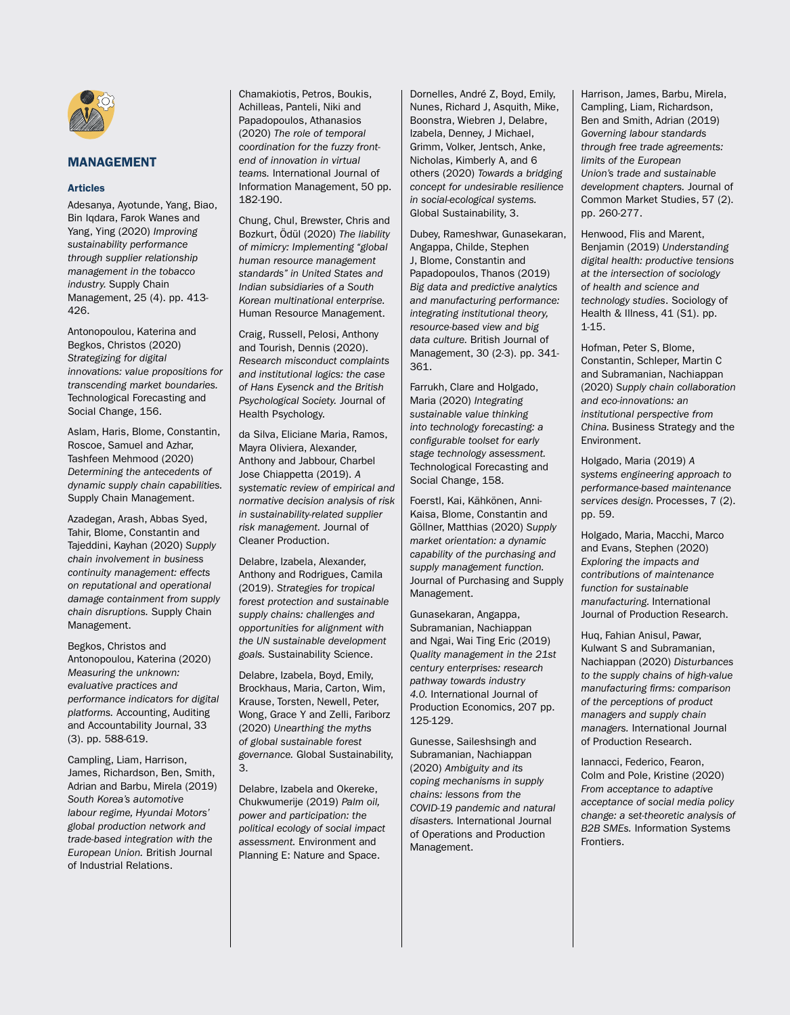

# MANAGEMENT

#### Articles

Adesanya, Ayotunde, Yang, Biao, Bin Iqdara, Farok Wanes and Yang, Ying (2020) *Improving sustainability performance through supplier relationship management in the tobacco industry.* Supply Chain Management, 25 (4). pp. 413- 426.

Antonopoulou, Katerina and Begkos, Christos (2020) *Strategizing for digital innovations: value propositions for transcending market boundaries.* Technological Forecasting and Social Change, 156.

Aslam, Haris, Blome, Constantin, Roscoe, Samuel and Azhar, Tashfeen Mehmood (2020) *Determining the antecedents of dynamic supply chain capabilities.* Supply Chain Management.

Azadegan, Arash, Abbas Syed, Tahir, Blome, Constantin and Tajeddini, Kayhan (2020) *Supply chain involvement in business continuity management: effects on reputational and operational damage containment from supply chain disruptions.* Supply Chain Management.

Begkos, Christos and Antonopoulou, Katerina (2020) *Measuring the unknown: evaluative practices and performance indicators for digital platforms.* Accounting, Auditing and Accountability Journal, 33 (3). pp. 588-619.

Campling, Liam, Harrison, James, Richardson, Ben, Smith, Adrian and Barbu, Mirela (2019) *South Korea's automotive labour regime, Hyundai Motors' global production network and trade-based integration with the European Union.* British Journal of Industrial Relations.

Chamakiotis, Petros, Boukis, Achilleas, Panteli, Niki and Papadopoulos, Athanasios (2020) *The role of temporal coordination for the fuzzy frontend of innovation in virtual teams.* International Journal of Information Management, 50 pp. 182-190.

Chung, Chul, Brewster, Chris and Bozkurt, Ödül (2020) *The liability of mimicry: Implementing "global human resource management standards" in United States and Indian subsidiaries of a South Korean multinational enterprise.* Human Resource Management.

Craig, Russell, Pelosi, Anthony and Tourish, Dennis (2020). *Research misconduct complaints and institutional logics: the case of Hans Eysenck and the British Psychological Society.* Journal of Health Psychology.

da Silva, Eliciane Maria, Ramos, Mayra Oliviera, Alexander, Anthony and Jabbour, Charbel Jose Chiappetta (2019). *A systematic review of empirical and normative decision analysis of risk in sustainability-related supplier risk management.* Journal of Cleaner Production.

Delabre, Izabela, Alexander, Anthony and Rodrigues, Camila (2019). *Strategies for tropical forest protection and sustainable supply chains: challenges and opportunities for alignment with the UN sustainable development goals.* Sustainability Science.

Delabre, Izabela, Boyd, Emily, Brockhaus, Maria, Carton, Wim, Krause, Torsten, Newell, Peter, Wong, Grace Y and Zelli, Fariborz (2020) *Unearthing the myths of global sustainable forest governance.* Global Sustainability, 3.

Delabre, Izabela and Okereke, Chukwumerije (2019) *Palm oil, power and participation: the political ecology of social impact assessment.* Environment and Planning E: Nature and Space.

Dornelles, André Z, Boyd, Emily, Nunes, Richard J, Asquith, Mike, Boonstra, Wiebren J, Delabre, Izabela, Denney, J Michael, Grimm, Volker, Jentsch, Anke, Nicholas, Kimberly A, and 6 others (2020) *Towards a bridging concept for undesirable resilience in social-ecological systems.* Global Sustainability, 3.

Dubey, Rameshwar, Gunasekaran, Angappa, Childe, Stephen J, Blome, Constantin and Papadopoulos, Thanos (2019) *Big data and predictive analytics and manufacturing performance: integrating institutional theory, resource-based view and big data culture.* British Journal of Management, 30 (2-3). pp. 341- 361.

Farrukh, Clare and Holgado, Maria (2020) *Integrating sustainable value thinking into technology forecasting: a configurable toolset for early stage technology assessment.* Technological Forecasting and Social Change, 158.

Foerstl, Kai, Kähkönen, Anni-Kaisa, Blome, Constantin and Göllner, Matthias (2020) *Supply market orientation: a dynamic capability of the purchasing and supply management function.* Journal of Purchasing and Supply Management.

Gunasekaran, Angappa, Subramanian, Nachiappan and Ngai, Wai Ting Eric (2019) *Quality management in the 21st century enterprises: research pathway towards industry 4.0.* International Journal of Production Economics, 207 pp. 125-129.

Gunesse, Saileshsingh and Subramanian, Nachiappan (2020) *Ambiguity and its coping mechanisms in supply chains: lessons from the COVID-19 pandemic and natural disasters.* International Journal of Operations and Production Management.

Harrison, James, Barbu, Mirela, Campling, Liam, Richardson, Ben and Smith, Adrian (2019) *Governing labour standards through free trade agreements: limits of the European Union's trade and sustainable development chapters.* Journal of Common Market Studies, 57 (2). pp. 260-277.

Henwood, Flis and Marent, Benjamin (2019) *Understanding digital health: productive tensions at the intersection of sociology of health and science and technology studies*. Sociology of Health & Illness, 41 (S1). pp. 1-15.

Hofman, Peter S, Blome, Constantin, Schleper, Martin C and Subramanian, Nachiappan (2020) *Supply chain collaboration and eco-innovations: an institutional perspective from China.* Business Strategy and the Environment.

Holgado, Maria (2019) *A systems engineering approach to performance-based maintenance services design.* Processes, 7 (2). pp. 59.

Holgado, Maria, Macchi, Marco and Evans, Stephen (2020) *Exploring the impacts and contributions of maintenance function for sustainable manufacturing.* International Journal of Production Research.

Huq, Fahian Anisul, Pawar, Kulwant S and Subramanian, Nachiappan (2020) *Disturbances to the supply chains of high-value manufacturing firms: comparison of the perceptions of product managers and supply chain managers.* International Journal of Production Research.

Iannacci, Federico, Fearon, Colm and Pole, Kristine (2020) *From acceptance to adaptive acceptance of social media policy change: a set-theoretic analysis of B2B SMEs.* Information Systems **Frontiers**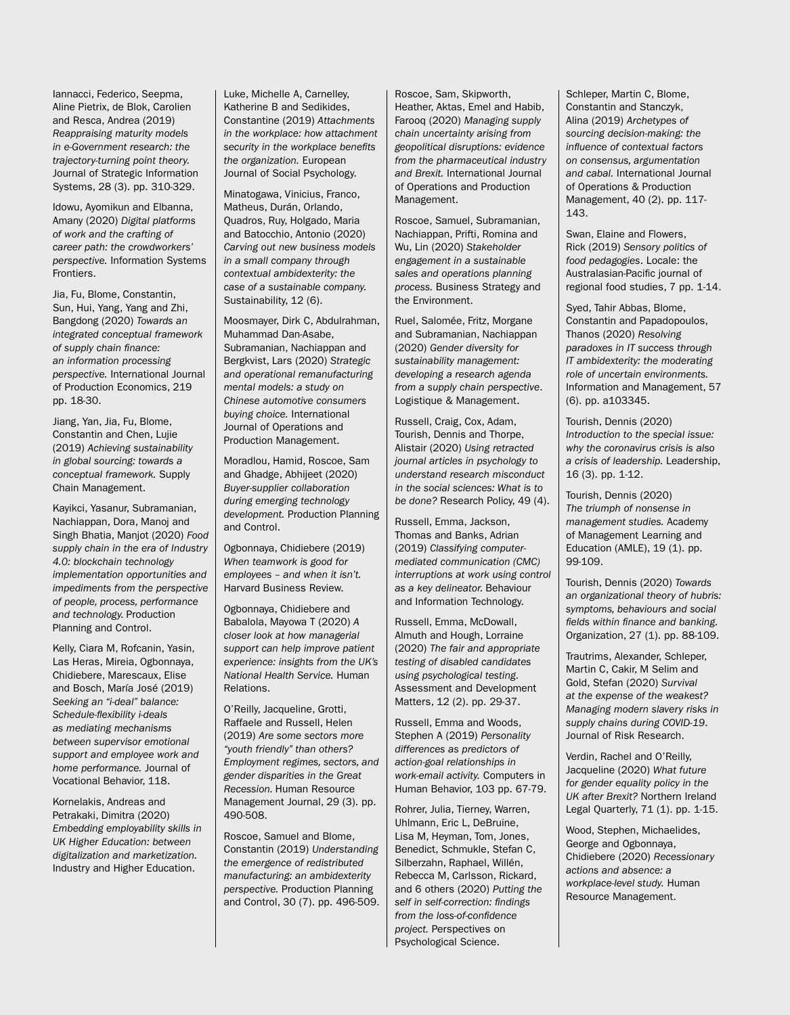Iannacci, Federico, Seepma, Aline Pietrix, de Blok, Carolien and Resca, Andrea (2019) *Reappraising maturity models in e-Government research: the trajectory-turning point theory.* Journal of Strategic Information Systems, 28 (3). pp. 310-329.

Idowu, Ayomikun and Elbanna, Amany (2020) *Digital platforms of work and the crafting of career path: the crowdworkers' perspective.* Information Systems Frontiers.

Jia, Fu, Blome, Constantin, Sun, Hui, Yang, Yang and Zhi, Bangdong (2020) *Towards an integrated conceptual framework of supply chain finance: an information processing perspective.* International Journal of Production Economics, 219 pp. 18-30.

Jiang, Yan, Jia, Fu, Blome, Constantin and Chen, Lujie (2019) *Achieving sustainability in global sourcing: towards a conceptual framework.* Supply Chain Management.

Kayikci, Yasanur, Subramanian, Nachiappan, Dora, Manoj and Singh Bhatia, Manjot (2020) *Food supply chain in the era of Industry 4.0: blockchain technology implementation opportunities and impediments from the perspective of people, process, performance and technology.* Production Planning and Control.

Kelly, Ciara M, Rofcanin, Yasin, Las Heras, Mireia, Ogbonnaya, Chidiebere, Marescaux, Elise and Bosch, María José (2019) *Seeking an "i-deal" balance: Schedule-flexibility i-deals as mediating mechanisms between supervisor emotional support and employee work and home performance.* Journal of Vocational Behavior, 118.

Kornelakis, Andreas and Petrakaki, Dimitra (2020) *Embedding employability skills in UK Higher Education: between digitalization and marketization.* Industry and Higher Education.

Luke, Michelle A, Carnelley, Katherine B and Sedikides, Constantine (2019) *Attachments in the workplace: how attachment security in the workplace benefits the organization.* European Journal of Social Psychology.

Minatogawa, Vinicius, Franco, Matheus, Durán, Orlando, Quadros, Ruy, Holgado, Maria and Batocchio, Antonio (2020) *Carving out new business models in a small company through contextual ambidexterity: the case of a sustainable company.*  Sustainability, 12 (6).

Moosmayer, Dirk C, Abdulrahman, Muhammad Dan-Asabe, Subramanian, Nachiappan and Bergkvist, Lars (2020) *Strategic and operational remanufacturing mental models: a study on Chinese automotive consumers buying choice.* International Journal of Operations and Production Management.

Moradlou, Hamid, Roscoe, Sam and Ghadge, Abhijeet (2020) *Buyer-supplier collaboration during emerging technology development.* Production Planning and Control.

Ogbonnaya, Chidiebere (2019) *When teamwork is good for employees – and when it isn't.* Harvard Business Review.

Ogbonnaya, Chidiebere and Babalola, Mayowa T (2020) *A closer look at how managerial support can help improve patient experience: insights from the UK's National Health Service.* Human Relations.

O'Reilly, Jacqueline, Grotti, Raffaele and Russell, Helen (2019) *Are some sectors more "youth friendly" than others? Employment regimes, sectors, and gender disparities in the Great Recession.* Human Resource Management Journal, 29 (3). pp. 490-508.

Roscoe, Samuel and Blome, Constantin (2019) *Understanding the emergence of redistributed manufacturing: an ambidexterity perspective.* Production Planning and Control, 30 (7). pp. 496-509.

Roscoe, Sam, Skipworth, Heather, Aktas, Emel and Habib, Farooq (2020) *Managing supply chain uncertainty arising from geopolitical disruptions: evidence from the pharmaceutical industry and Brexit.* International Journal of Operations and Production Management.

Roscoe, Samuel, Subramanian, Nachiappan, Prifti, Romina and Wu, Lin (2020) *Stakeholder engagement in a sustainable sales and operations planning process.* Business Strategy and the Environment.

Ruel, Salomée, Fritz, Morgane and Subramanian, Nachiappan (2020) *Gender diversity for sustainability management: developing a research agenda from a supply chain perspective*. Logistique & Management.

Russell, Craig, Cox, Adam, Tourish, Dennis and Thorpe, Alistair (2020) *Using retracted journal articles in psychology to understand research misconduct in the social sciences: What is to be done?* Research Policy, 49 (4).

Russell, Emma, Jackson, Thomas and Banks, Adrian (2019) *Classifying computermediated communication (CMC) interruptions at work using control as a key delineator.* Behaviour and Information Technology.

Russell, Emma, McDowall, Almuth and Hough, Lorraine (2020) *The fair and appropriate testing of disabled candidates using psychological testing.*  Assessment and Development Matters, 12 (2). pp. 29-37.

Russell, Emma and Woods, Stephen A (2019) *Personality differences as predictors of action-goal relationships in work-email activity.* Computers in Human Behavior, 103 pp. 67-79.

Rohrer, Julia, Tierney, Warren, Uhlmann, Eric L, DeBruine, Lisa M, Heyman, Tom, Jones, Benedict, Schmukle, Stefan C, Silberzahn, Raphael, Willén, Rebecca M, Carlsson, Rickard, and 6 others (2020) *Putting the self in self-correction: findings from the loss-of-confidence project.* Perspectives on Psychological Science.

Schleper, Martin C, Blome, Constantin and Stanczyk, Alina (2019) *Archetypes of sourcing decision-making: the influence of contextual factors on consensus, argumentation and cabal.* International Journal of Operations & Production Management, 40 (2). pp. 117- 143.

Swan, Elaine and Flowers, Rick (2019) *Sensory politics of food pedagogies*. Locale: the Australasian-Pacific journal of regional food studies, 7 pp. 1-14.

Syed, Tahir Abbas, Blome, Constantin and Papadopoulos, Thanos (2020) *Resolving paradoxes in IT success through IT ambidexterity: the moderating role of uncertain environments.* Information and Management, 57 (6). pp. a103345.

Tourish, Dennis (2020) *Introduction to the special issue: why the coronavirus crisis is also a crisis of leadership.* Leadership, 16 (3). pp. 1-12.

Tourish, Dennis (2020) *The triumph of nonsense in management studies.* Academy of Management Learning and Education (AMLE), 19 (1). pp. 99-109.

Tourish, Dennis (2020) *Towards an organizational theory of hubris: symptoms, behaviours and social fields within finance and banking.* Organization, 27 (1). pp. 88-109.

Trautrims, Alexander, Schleper, Martin C, Cakir, M Selim and Gold, Stefan (2020) *Survival at the expense of the weakest? Managing modern slavery risks in supply chains during COVID-19*. Journal of Risk Research.

Verdin, Rachel and O'Reilly, Jacqueline (2020) *What future for gender equality policy in the UK after Brexit?* Northern Ireland Legal Quarterly, 71 (1). pp. 1-15.

Wood, Stephen, Michaelides, George and Ogbonnaya, Chidiebere (2020) *Recessionary actions and absence: a workplace-level study.* Human Resource Management.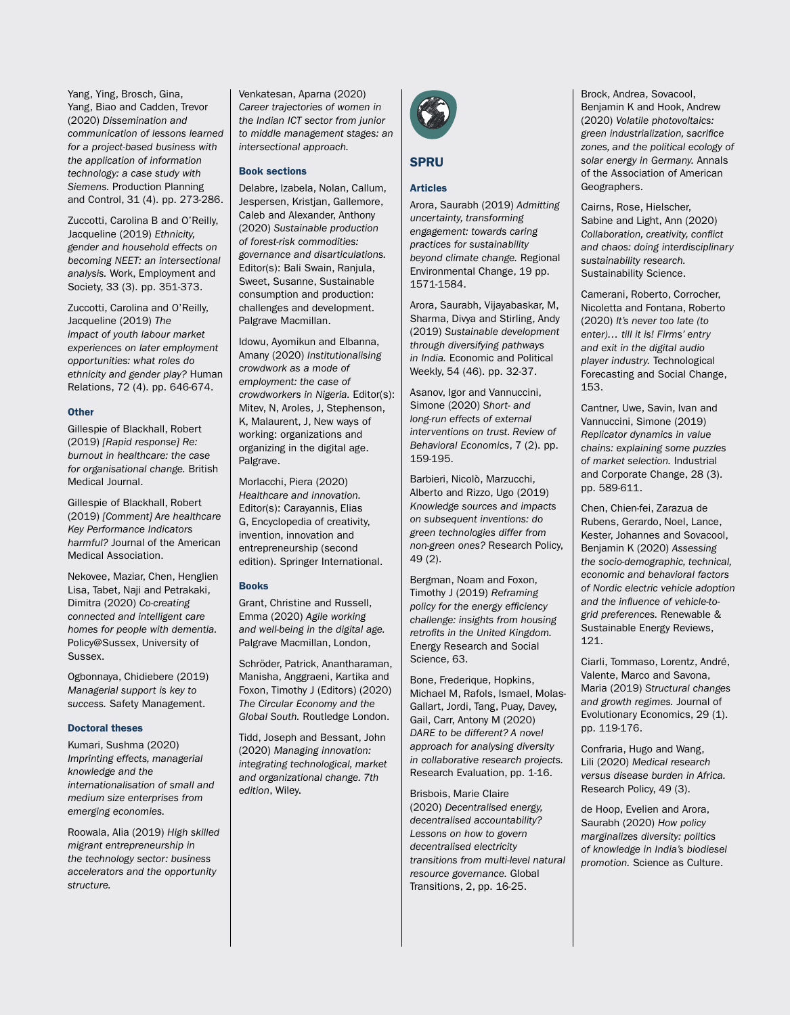Yang, Ying, Brosch, Gina, Yang, Biao and Cadden, Trevor (2020) *Dissemination and communication of lessons learned for a project-based business with the application of information technology: a case study with Siemens.* Production Planning and Control, 31 (4). pp. 273-286.

Zuccotti, Carolina B and O'Reilly, Jacqueline (2019) *Ethnicity, gender and household effects on becoming NEET: an intersectional analysis.* Work, Employment and Society, 33 (3). pp. 351-373.

Zuccotti, Carolina and O'Reilly, Jacqueline (2019) *The impact of youth labour market experiences on later employment opportunities: what roles do ethnicity and gender play?* Human Relations, 72 (4). pp. 646-674.

#### **Other**

Gillespie of Blackhall, Robert (2019) *[Rapid response] Re: burnout in healthcare: the case for organisational change.* British Medical Journal.

Gillespie of Blackhall, Robert (2019) *[Comment] Are healthcare Key Performance Indicators harmful?* Journal of the American Medical Association.

Nekovee, Maziar, Chen, Henglien Lisa, Tabet, Naji and Petrakaki, Dimitra (2020) *Co-creating connected and intelligent care homes for people with dementia.*  Policy@Sussex, University of Sussex.

Ogbonnaya, Chidiebere (2019) *Managerial support is key to success.* Safety Management.

#### Doctoral theses

Kumari, Sushma (2020) *Imprinting effects, managerial knowledge and the internationalisation of small and medium size enterprises from emerging economies.*

Roowala, Alia (2019) *High skilled migrant entrepreneurship in the technology sector: business accelerators and the opportunity structure.*

Venkatesan, Aparna (2020) *Career trajectories of women in the Indian ICT sector from junior to middle management stages: an intersectional approach.*

#### Book sections

Delabre, Izabela, Nolan, Callum, Jespersen, Kristjan, Gallemore, Caleb and Alexander, Anthony (2020) *Sustainable production of forest-risk commodities: governance and disarticulations.* Editor(s): Bali Swain, Ranjula, Sweet, Susanne, Sustainable consumption and production: challenges and development. Palgrave Macmillan.

Idowu, Ayomikun and Elbanna, Amany (2020) *Institutionalising crowdwork as a mode of employment: the case of crowdworkers in Nigeria.* Editor(s): Mitev, N, Aroles, J, Stephenson, K, Malaurent, J, New ways of working: organizations and organizing in the digital age. Palgrave.

Morlacchi, Piera (2020) *Healthcare and innovation.* Editor(s): Carayannis, Elias G, Encyclopedia of creativity, invention, innovation and entrepreneurship (second edition). Springer International.

#### Books

Grant, Christine and Russell, Emma (2020) *Agile working and well-being in the digital age.*  Palgrave Macmillan, London,

Schröder, Patrick, Anantharaman, Manisha, Anggraeni, Kartika and Foxon, Timothy J (Editors) (2020) *The Circular Economy and the Global South.* Routledge London.

Tidd, Joseph and Bessant, John (2020) *Managing innovation: integrating technological, market and organizational change. 7th edition*, Wiley.



# SPRU

#### Articles

Arora, Saurabh (2019) *Admitting uncertainty, transforming engagement: towards caring practices for sustainability beyond climate change.* Regional Environmental Change, 19 pp. 1571-1584.

Arora, Saurabh, Vijayabaskar, M, Sharma, Divya and Stirling, Andy (2019) *Sustainable development through diversifying pathways in India.* Economic and Political Weekly, 54 (46). pp. 32-37.

Asanov, Igor and Vannuccini, Simone (2020) *Short- and long-run effects of external interventions on trust. Review of Behavioral Economics*, 7 (2). pp. 159-195.

Barbieri, Nicolò, Marzucchi, Alberto and Rizzo, Ugo (2019) *Knowledge sources and impacts on subsequent inventions: do green technologies differ from non-green ones?* Research Policy, 49 (2).

Bergman, Noam and Foxon, Timothy J (2019) *Reframing policy for the energy efficiency challenge: insights from housing retrofits in the United Kingdom.* Energy Research and Social Science, 63.

Bone, Frederique, Hopkins, Michael M, Rafols, Ismael, Molas-Gallart, Jordi, Tang, Puay, Davey, Gail, Carr, Antony M (2020) *DARE to be different? A novel approach for analysing diversity in collaborative research projects.* Research Evaluation, pp. 1-16.

Brisbois, Marie Claire (2020) *Decentralised energy, decentralised accountability? Lessons on how to govern decentralised electricity transitions from multi-level natural resource governance.* Global Transitions, 2, pp. 16-25.

Brock, Andrea, Sovacool, Benjamin K and Hook, Andrew (2020) *Volatile photovoltaics: green industrialization, sacrifice zones, and the political ecology of solar energy in Germany.* Annals of the Association of American Geographers.

Cairns, Rose, Hielscher, Sabine and Light, Ann (2020) *Collaboration, creativity, conflict and chaos: doing interdisciplinary sustainability research.* Sustainability Science.

Camerani, Roberto, Corrocher, Nicoletta and Fontana, Roberto (2020) *It's never too late (to enter)… till it is! Firms' entry and exit in the digital audio player industry.* Technological Forecasting and Social Change, 153.

Cantner, Uwe, Savin, Ivan and Vannuccini, Simone (2019) *Replicator dynamics in value chains: explaining some puzzles of market selection.* Industrial and Corporate Change, 28 (3). pp. 589-611.

Chen, Chien-fei, Zarazua de Rubens, Gerardo, Noel, Lance, Kester, Johannes and Sovacool, Benjamin K (2020) *Assessing the socio-demographic, technical, economic and behavioral factors of Nordic electric vehicle adoption and the influence of vehicle-togrid preferences.* Renewable & Sustainable Energy Reviews, 121.

Ciarli, Tommaso, Lorentz, André, Valente, Marco and Savona, Maria (2019) *Structural changes and growth regimes.* Journal of Evolutionary Economics, 29 (1). pp. 119-176.

Confraria, Hugo and Wang, Lili (2020) *Medical research versus disease burden in Africa.* Research Policy, 49 (3).

de Hoop, Evelien and Arora, Saurabh (2020) *How policy marginalizes diversity: politics of knowledge in India's biodiesel promotion.* Science as Culture.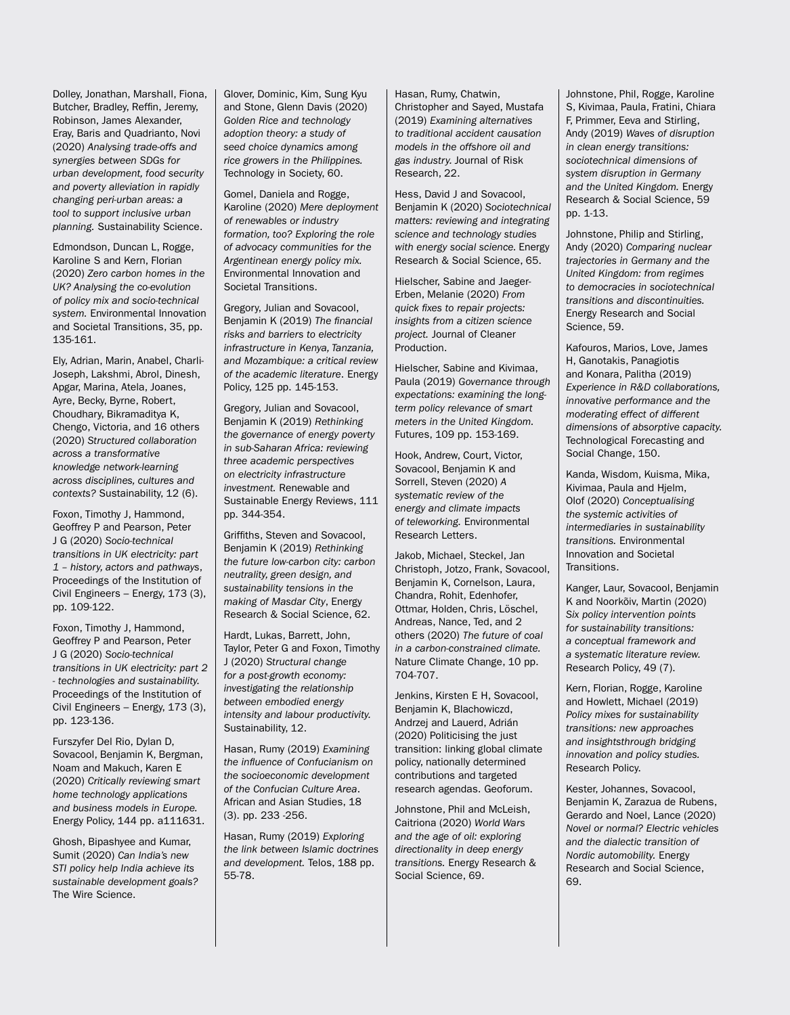Dolley, Jonathan, Marshall, Fiona, Butcher, Bradley, Reffin, Jeremy, Robinson, James Alexander, Eray, Baris and Quadrianto, Novi (2020) *Analysing trade-offs and synergies between SDGs for urban development, food security and poverty alleviation in rapidly changing peri-urban areas: a tool to support inclusive urban planning.* Sustainability Science.

Edmondson, Duncan L, Rogge, Karoline S and Kern, Florian (2020) *Zero carbon homes in the UK? Analysing the co-evolution of policy mix and socio-technical system.* Environmental Innovation and Societal Transitions, 35, pp. 135-161.

Ely, Adrian, Marin, Anabel, Charli-Joseph, Lakshmi, Abrol, Dinesh, Apgar, Marina, Atela, Joanes, Ayre, Becky, Byrne, Robert, Choudhary, Bikramaditya K, Chengo, Victoria, and 16 others (2020) *Structured collaboration across a transformative knowledge network-learning across disciplines, cultures and contexts?* Sustainability, 12 (6).

Foxon, Timothy J, Hammond, Geoffrey P and Pearson, Peter J G (2020) *Socio-technical transitions in UK electricity: part 1 – history, actors and pathways*, Proceedings of the Institution of Civil Engineers – Energy, 173 (3), pp. 109-122.

Foxon, Timothy J, Hammond, Geoffrey P and Pearson, Peter J G (2020) *Socio-technical transitions in UK electricity: part 2 - technologies and sustainability.* Proceedings of the Institution of Civil Engineers – Energy, 173 (3), pp. 123-136.

Furszyfer Del Rio, Dylan D, Sovacool, Benjamin K, Bergman, Noam and Makuch, Karen E (2020) *Critically reviewing smart home technology applications and business models in Europe.*  Energy Policy, 144 pp. a111631.

Ghosh, Bipashyee and Kumar, Sumit (2020) *Can India's new STI policy help India achieve its sustainable development goals?* The Wire Science.

Glover, Dominic, Kim, Sung Kyu and Stone, Glenn Davis (2020) *Golden Rice and technology adoption theory: a study of seed choice dynamics among rice growers in the Philippines.* Technology in Society, 60.

Gomel, Daniela and Rogge, Karoline (2020) *Mere deployment of renewables or industry formation, too? Exploring the role of advocacy communities for the Argentinean energy policy mix.*  Environmental Innovation and Societal Transitions.

Gregory, Julian and Sovacool, Benjamin K (2019) *The financial risks and barriers to electricity infrastructure in Kenya, Tanzania, and Mozambique: a critical review of the academic literature*. Energy Policy, 125 pp. 145-153.

Gregory, Julian and Sovacool, Benjamin K (2019) *Rethinking the governance of energy poverty in sub-Saharan Africa: reviewing three academic perspectives on electricity infrastructure investment.* Renewable and Sustainable Energy Reviews, 111 pp. 344-354.

Griffiths, Steven and Sovacool, Benjamin K (2019) *Rethinking the future low-carbon city: carbon neutrality, green design, and sustainability tensions in the making of Masdar City*, Energy Research & Social Science, 62.

Hardt, Lukas, Barrett, John, Taylor, Peter G and Foxon, Timothy J (2020) *Structural change for a post-growth economy: investigating the relationship between embodied energy intensity and labour productivity.* Sustainability, 12.

Hasan, Rumy (2019) *Examining the influence of Confucianism on the socioeconomic development of the Confucian Culture Area*. African and Asian Studies, 18 (3). pp. 233 -256.

Hasan, Rumy (2019) *Exploring the link between Islamic doctrines and development.* Telos, 188 pp. 55-78.

Hasan, Rumy, Chatwin, Christopher and Sayed, Mustafa (2019) *Examining alternatives to traditional accident causation models in the offshore oil and gas industry.* Journal of Risk Research, 22.

Hess, David J and Sovacool, Benjamin K (2020) *Sociotechnical matters: reviewing and integrating science and technology studies with energy social science.* Energy Research & Social Science, 65.

Hielscher, Sabine and Jaeger-Erben, Melanie (2020) *From quick fixes to repair projects: insights from a citizen science project.* Journal of Cleaner Production.

Hielscher, Sabine and Kivimaa, Paula (2019) *Governance through expectations: examining the longterm policy relevance of smart meters in the United Kingdom.* Futures, 109 pp. 153-169.

Hook, Andrew, Court, Victor, Sovacool, Benjamin K and Sorrell, Steven (2020) *A systematic review of the energy and climate impacts of teleworking.* Environmental Research Letters.

Jakob, Michael, Steckel, Jan Christoph, Jotzo, Frank, Sovacool, Benjamin K, Cornelson, Laura, Chandra, Rohit, Edenhofer, Ottmar, Holden, Chris, Löschel, Andreas, Nance, Ted, and 2 others (2020) *The future of coal in a carbon-constrained climate.*  Nature Climate Change, 10 pp. 704-707.

Jenkins, Kirsten E H, Sovacool, Benjamin K, Blachowiczd, Andrzej and Lauerd, Adrián (2020) Politicising the just transition: linking global climate policy, nationally determined contributions and targeted research agendas. Geoforum.

Johnstone, Phil and McLeish, Caitriona (2020) *World Wars and the age of oil: exploring directionality in deep energy transitions.* Energy Research & Social Science, 69.

Johnstone, Phil, Rogge, Karoline S, Kivimaa, Paula, Fratini, Chiara F, Primmer, Eeva and Stirling, Andy (2019) *Waves of disruption in clean energy transitions: sociotechnical dimensions of system disruption in Germany and the United Kingdom.* Energy Research & Social Science, 59 pp. 1-13.

Johnstone, Philip and Stirling, Andy (2020) *Comparing nuclear trajectories in Germany and the United Kingdom: from regimes to democracies in sociotechnical transitions and discontinuities.* Energy Research and Social Science, 59.

Kafouros, Marios, Love, James H, Ganotakis, Panagiotis and Konara, Palitha (2019) *Experience in R&D collaborations, innovative performance and the moderating effect of different dimensions of absorptive capacity.* Technological Forecasting and Social Change, 150.

Kanda, Wisdom, Kuisma, Mika, Kivimaa, Paula and Hjelm, Olof (2020) *Conceptualising the systemic activities of intermediaries in sustainability transitions.* Environmental Innovation and Societal **Transitions** 

Kanger, Laur, Sovacool, Benjamin K and Noorkõiv, Martin (2020) *Six policy intervention points for sustainability transitions: a conceptual framework and a systematic literature review.*  Research Policy, 49 (7).

Kern, Florian, Rogge, Karoline and Howlett, Michael (2019) *Policy mixes for sustainability transitions: new approaches and insightsthrough bridging innovation and policy studies.*  Research Policy.

Kester, Johannes, Sovacool, Benjamin K, Zarazua de Rubens, Gerardo and Noel, Lance (2020) *Novel or normal? Electric vehicles and the dialectic transition of Nordic automobility.* Energy Research and Social Science, 69.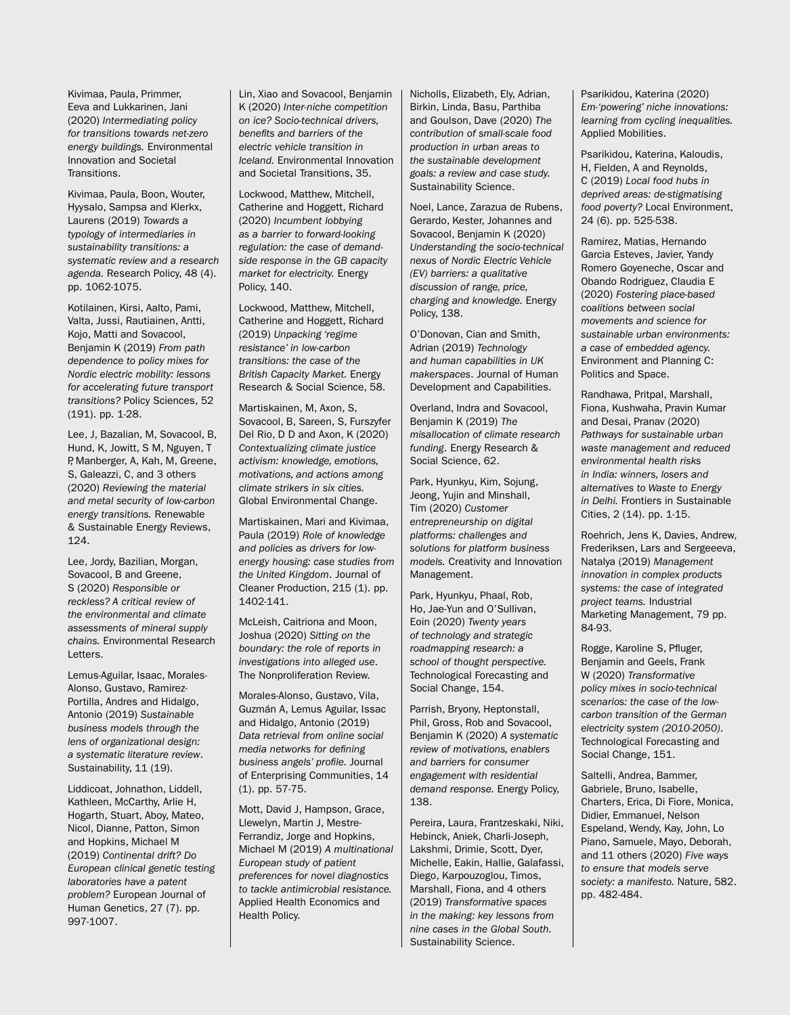Kivimaa, Paula, Primmer, Eeva and Lukkarinen, Jani (2020) *Intermediating policy for transitions towards net-zero energy buildings.* Environmental Innovation and Societal **Transitions** 

Kivimaa, Paula, Boon, Wouter, Hyysalo, Sampsa and Klerkx, Laurens (2019) *Towards a typology of intermediaries in sustainability transitions: a systematic review and a research agenda.* Research Policy, 48 (4). pp. 1062-1075.

Kotilainen, Kirsi, Aalto, Pami, Valta, Jussi, Rautiainen, Antti, Kojo, Matti and Sovacool, Benjamin K (2019) *From path dependence to policy mixes for Nordic electric mobility: lessons for accelerating future transport transitions?* Policy Sciences, 52 (191). pp. 1-28.

Lee, J, Bazalian, M, Sovacool, B, Hund, K, Jowitt, S M, Nguyen, T P, Manberger, A, Kah, M, Greene, S, Galeazzi, C, and 3 others (2020) *Reviewing the material and metal security of low-carbon energy transitions.* Renewable & Sustainable Energy Reviews, 124.

Lee, Jordy, Bazilian, Morgan, Sovacool, B and Greene, S (2020) *Responsible or reckless? A critical review of the environmental and climate assessments of mineral supply chains.* Environmental Research Letters.

Lemus-Aguilar, Isaac, Morales-Alonso, Gustavo, Ramirez-Portilla, Andres and Hidalgo, Antonio (2019) *Sustainable business models through the lens of organizational design: a systematic literature review*. Sustainability, 11 (19).

Liddicoat, Johnathon, Liddell, Kathleen, McCarthy, Arlie H, Hogarth, Stuart, Aboy, Mateo, Nicol, Dianne, Patton, Simon and Hopkins, Michael M (2019) *Continental drift? Do European clinical genetic testing laboratories have a patent problem?* European Journal of Human Genetics, 27 (7). pp. 997-1007.

Lin, Xiao and Sovacool, Benjamin K (2020) *Inter-niche competition on ice? Socio-technical drivers, benefits and barriers of the electric vehicle transition in Iceland.* Environmental Innovation and Societal Transitions, 35.

Lockwood, Matthew, Mitchell, Catherine and Hoggett, Richard (2020) *Incumbent lobbying as a barrier to forward-looking regulation: the case of demandside response in the GB capacity market for electricity.* Energy Policy, 140.

Lockwood, Matthew, Mitchell, Catherine and Hoggett, Richard (2019) *Unpacking 'regime resistance' in low-carbon transitions: the case of the British Capacity Market.* Energy Research & Social Science, 58.

Martiskainen, M, Axon, S, Sovacool, B, Sareen, S, Furszyfer Del Rio, D D and Axon, K (2020) *Contextualizing climate justice activism: knowledge, emotions, motivations, and actions among climate strikers in six cities.* Global Environmental Change.

Martiskainen, Mari and Kivimaa, Paula (2019) *Role of knowledge and policies as drivers for lowenergy housing: case studies from the United Kingdom*. Journal of Cleaner Production, 215 (1). pp. 1402-141.

McLeish, Caitriona and Moon, Joshua (2020) *Sitting on the boundary: the role of reports in investigations into alleged use*. The Nonproliferation Review.

Morales-Alonso, Gustavo, Vila, Guzmán A, Lemus Aguilar, Issac and Hidalgo, Antonio (2019) *Data retrieval from online social media networks for defining business angels' profile.* Journal of Enterprising Communities, 14 (1). pp. 57-75.

Mott, David J, Hampson, Grace, Llewelyn, Martin J, Mestre-Ferrandiz, Jorge and Hopkins, Michael M (2019) *A multinational European study of patient preferences for novel diagnostics to tackle antimicrobial resistance.* Applied Health Economics and Health Policy.

Nicholls, Elizabeth, Ely, Adrian, Birkin, Linda, Basu, Parthiba and Goulson, Dave (2020) *The contribution of small-scale food production in urban areas to the sustainable development goals: a review and case study.*  Sustainability Science.

Noel, Lance, Zarazua de Rubens, Gerardo, Kester, Johannes and Sovacool, Benjamin K (2020) *Understanding the socio-technical nexus of Nordic Electric Vehicle (EV) barriers: a qualitative discussion of range, price, charging and knowledge.* Energy Policy, 138.

O'Donovan, Cian and Smith, Adrian (2019) *Technology and human capabilities in UK makerspaces*. Journal of Human Development and Capabilities.

Overland, Indra and Sovacool, Benjamin K (2019) *The misallocation of climate research funding*. Energy Research & Social Science, 62.

Park, Hyunkyu, Kim, Sojung, Jeong, Yujin and Minshall, Tim (2020) *Customer entrepreneurship on digital platforms: challenges and solutions for platform business models.* Creativity and Innovation Management.

Park, Hyunkyu, Phaal, Rob, Ho, Jae-Yun and O'Sullivan, Eoin (2020) *Twenty years of technology and strategic roadmapping research: a school of thought perspective.* Technological Forecasting and Social Change, 154.

Parrish, Bryony, Heptonstall, Phil, Gross, Rob and Sovacool, Benjamin K (2020) *A systematic review of motivations, enablers and barriers for consumer engagement with residential demand response.* Energy Policy, 138.

Pereira, Laura, Frantzeskaki, Niki, Hebinck, Aniek, Charli-Joseph, Lakshmi, Drimie, Scott, Dyer, Michelle, Eakin, Hallie, Galafassi, Diego, Karpouzoglou, Timos, Marshall, Fiona, and 4 others (2019) *Transformative spaces in the making: key lessons from nine cases in the Global South.* Sustainability Science.

Psarikidou, Katerina (2020) *Em-'powering' niche innovations: learning from cycling inequalities.*  Applied Mobilities.

Psarikidou, Katerina, Kaloudis, H, Fielden, A and Reynolds, C (2019) *Local food hubs in deprived areas: de-stigmatising food poverty?* Local Environment, 24 (6). pp. 525-538.

Ramirez, Matias, Hernando Garcia Esteves, Javier, Yandy Romero Goyeneche, Oscar and Obando Rodriguez, Claudia E (2020) *Fostering place-based coalitions between social movements and science for sustainable urban environments: a case of embedded agency.*  Environment and Planning C: Politics and Space.

Randhawa, Pritpal, Marshall, Fiona, Kushwaha, Pravin Kumar and Desai, Pranav (2020) *Pathways for sustainable urban waste management and reduced environmental health risks in India: winners, losers and alternatives to Waste to Energy in Delhi.* Frontiers in Sustainable Cities, 2 (14). pp. 1-15.

Roehrich, Jens K, Davies, Andrew, Frederiksen, Lars and Sergeeeva, Natalya (2019) *Management innovation in complex products systems: the case of integrated project teams.* Industrial Marketing Management, 79 pp. 84-93.

Rogge, Karoline S, Pfluger, Benjamin and Geels, Frank W (2020) *Transformative policy mixes in socio-technical scenarios: the case of the lowcarbon transition of the German electricity system (2010-2050)*. Technological Forecasting and Social Change, 151.

Saltelli, Andrea, Bammer, Gabriele, Bruno, Isabelle, Charters, Erica, Di Fiore, Monica, Didier, Emmanuel, Nelson Espeland, Wendy, Kay, John, Lo Piano, Samuele, Mayo, Deborah, and 11 others (2020) *Five ways to ensure that models serve society: a manifesto.* Nature, 582. pp. 482-484.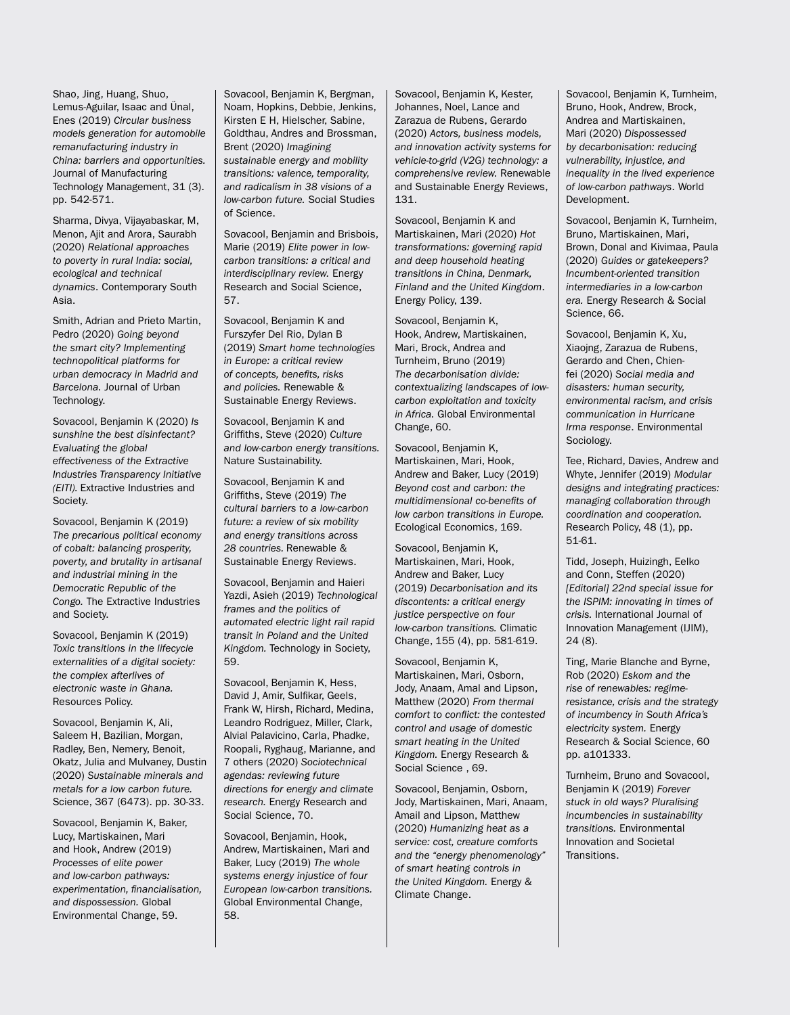Shao, Jing, Huang, Shuo, Lemus-Aguilar, Isaac and Ünal, Enes (2019) *Circular business models generation for automobile remanufacturing industry in China: barriers and opportunities.*  Journal of Manufacturing Technology Management, 31 (3). pp. 542-571.

Sharma, Divya, Vijayabaskar, M, Menon, Ajit and Arora, Saurabh (2020) *Relational approaches to poverty in rural India: social, ecological and technical dynamics*. Contemporary South Asia.

Smith, Adrian and Prieto Martin, Pedro (2020) *Going beyond the smart city? Implementing technopolitical platforms for urban democracy in Madrid and Barcelona.* Journal of Urban Technology.

Sovacool, Benjamin K (2020) *Is sunshine the best disinfectant? Evaluating the global effectiveness of the Extractive Industries Transparency Initiative (EITI).* Extractive Industries and Society.

Sovacool, Benjamin K (2019) *The precarious political economy of cobalt: balancing prosperity, poverty, and brutality in artisanal and industrial mining in the Democratic Republic of the Congo.* The Extractive Industries and Society.

Sovacool, Benjamin K (2019) *Toxic transitions in the lifecycle externalities of a digital society: the complex afterlives of electronic waste in Ghana.*  Resources Policy.

Sovacool, Benjamin K, Ali, Saleem H, Bazilian, Morgan, Radley, Ben, Nemery, Benoit, Okatz, Julia and Mulvaney, Dustin (2020) *Sustainable minerals and metals for a low carbon future.* Science, 367 (6473). pp. 30-33.

Sovacool, Benjamin K, Baker, Lucy, Martiskainen, Mari and Hook, Andrew (2019) *Processes of elite power and low-carbon pathways: experimentation, financialisation, and dispossession.* Global Environmental Change, 59.

Sovacool, Benjamin K, Bergman, Noam, Hopkins, Debbie, Jenkins, Kirsten E H, Hielscher, Sabine, Goldthau, Andres and Brossman, Brent (2020) *Imagining sustainable energy and mobility transitions: valence, temporality, and radicalism in 38 visions of a low-carbon future.* Social Studies of Science.

Sovacool, Benjamin and Brisbois, Marie (2019) *Elite power in lowcarbon transitions: a critical and interdisciplinary review.* Energy Research and Social Science, 57.

Sovacool, Benjamin K and Furszyfer Del Rio, Dylan B (2019) *Smart home technologies in Europe: a critical review of concepts, benefits, risks and policies.* Renewable & Sustainable Energy Reviews.

Sovacool, Benjamin K and Griffiths, Steve (2020) *Culture and low-carbon energy transitions.* Nature Sustainability.

Sovacool, Benjamin K and Griffiths, Steve (2019) *The cultural barriers to a low-carbon future: a review of six mobility and energy transitions across 28 countries.* Renewable & Sustainable Energy Reviews.

Sovacool, Benjamin and Haieri Yazdi, Asieh (2019) *Technological frames and the politics of automated electric light rail rapid transit in Poland and the United Kingdom.* Technology in Society, 59.

Sovacool, Benjamin K, Hess, David J, Amir, Sulfikar, Geels, Frank W, Hirsh, Richard, Medina, Leandro Rodriguez, Miller, Clark, Alvial Palavicino, Carla, Phadke, Roopali, Ryghaug, Marianne, and 7 others (2020) *Sociotechnical agendas: reviewing future directions for energy and climate research.* Energy Research and Social Science, 70.

Sovacool, Benjamin, Hook, Andrew, Martiskainen, Mari and Baker, Lucy (2019) *The whole systems energy injustice of four European low-carbon transitions.* Global Environmental Change, 58.

Sovacool, Benjamin K, Kester, Johannes, Noel, Lance and Zarazua de Rubens, Gerardo (2020) *Actors, business models, and innovation activity systems for vehicle-to-grid (V2G) technology: a comprehensive review.* Renewable and Sustainable Energy Reviews, 131.

Sovacool, Benjamin K and Martiskainen, Mari (2020) *Hot transformations: governing rapid and deep household heating transitions in China, Denmark, Finland and the United Kingdom*. Energy Policy, 139.

Sovacool, Benjamin K, Hook, Andrew, Martiskainen, Mari, Brock, Andrea and Turnheim, Bruno (2019) *The decarbonisation divide: contextualizing landscapes of lowcarbon exploitation and toxicity in Africa.* Global Environmental Change, 60.

Sovacool, Benjamin K, Martiskainen, Mari, Hook, Andrew and Baker, Lucy (2019) *Beyond cost and carbon: the multidimensional co-benefits of low carbon transitions in Europe.* Ecological Economics, 169.

Sovacool, Benjamin K, Martiskainen, Mari, Hook, Andrew and Baker, Lucy (2019) *Decarbonisation and its discontents: a critical energy justice perspective on four low-carbon transitions.* Climatic Change, 155 (4), pp. 581-619.

Sovacool, Benjamin K, Martiskainen, Mari, Osborn, Jody, Anaam, Amal and Lipson, Matthew (2020) *From thermal comfort to conflict: the contested control and usage of domestic smart heating in the United Kingdom.* Energy Research & Social Science , 69.

Sovacool, Benjamin, Osborn, Jody, Martiskainen, Mari, Anaam, Amail and Lipson, Matthew (2020) *Humanizing heat as a service: cost, creature comforts and the "energy phenomenology" of smart heating controls in the United Kingdom.* Energy & Climate Change.

Sovacool, Benjamin K, Turnheim, Bruno, Hook, Andrew, Brock, Andrea and Martiskainen, Mari (2020) *Dispossessed by decarbonisation: reducing vulnerability, injustice, and inequality in the lived experience of low-carbon pathways*. World Development.

Sovacool, Benjamin K, Turnheim, Bruno, Martiskainen, Mari, Brown, Donal and Kivimaa, Paula (2020) *Guides or gatekeepers? Incumbent-oriented transition intermediaries in a low-carbon era.* Energy Research & Social Science, 66.

Sovacool, Benjamin K, Xu, Xiaojng, Zarazua de Rubens, Gerardo and Chen, Chienfei (2020) *Social media and disasters: human security, environmental racism, and crisis communication in Hurricane Irma response*. Environmental Sociology.

Tee, Richard, Davies, Andrew and Whyte, Jennifer (2019) *Modular designs and integrating practices: managing collaboration through coordination and cooperation.* Research Policy, 48 (1), pp. 51-61.

Tidd, Joseph, Huizingh, Eelko and Conn, Steffen (2020) *[Editorial] 22nd special issue for the ISPIM: innovating in times of crisis.* International Journal of Innovation Management (IJIM), 24 (8).

Ting, Marie Blanche and Byrne, Rob (2020) *Eskom and the rise of renewables: regimeresistance, crisis and the strategy of incumbency in South Africa's electricity system.* Energy Research & Social Science, 60 pp. a101333.

Turnheim, Bruno and Sovacool, Benjamin K (2019) *Forever stuck in old ways? Pluralising incumbencies in sustainability transitions.* Environmental Innovation and Societal Transitions.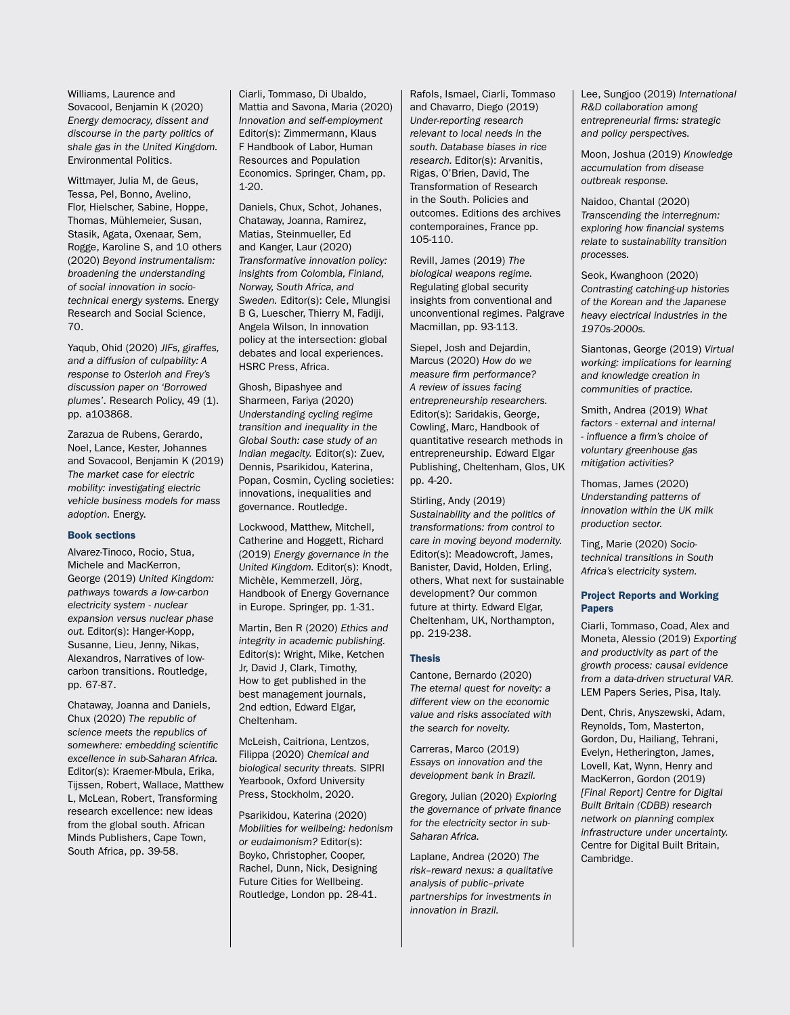Williams, Laurence and Sovacool, Benjamin K (2020) *Energy democracy, dissent and discourse in the party politics of shale gas in the United Kingdom.*  Environmental Politics.

Wittmayer, Julia M, de Geus, Tessa, Pel, Bonno, Avelino, Flor, Hielscher, Sabine, Hoppe, Thomas, Mühlemeier, Susan, Stasik, Agata, Oxenaar, Sem, Rogge, Karoline S, and 10 others (2020) *Beyond instrumentalism: broadening the understanding of social innovation in sociotechnical energy systems.* Energy Research and Social Science, 70.

Yaqub, Ohid (2020) *JIFs, giraffes, and a diffusion of culpability: A response to Osterloh and Frey's discussion paper on 'Borrowed plumes'*. Research Policy, 49 (1). pp. a103868.

Zarazua de Rubens, Gerardo, Noel, Lance, Kester, Johannes and Sovacool, Benjamin K (2019) *The market case for electric mobility: investigating electric vehicle business models for mass adoption.* Energy.

#### Book sections

Alvarez-Tinoco, Rocio, Stua, Michele and MacKerron, George (2019) *United Kingdom: pathways towards a low-carbon electricity system - nuclear expansion versus nuclear phase out.* Editor(s): Hanger-Kopp, Susanne, Lieu, Jenny, Nikas, Alexandros, Narratives of lowcarbon transitions. Routledge, pp. 67-87.

Chataway, Joanna and Daniels, Chux (2020) *The republic of science meets the republics of somewhere: embedding scientific excellence in sub-Saharan Africa.*  Editor(s): Kraemer-Mbula, Erika, Tijssen, Robert, Wallace, Matthew L, McLean, Robert, Transforming research excellence: new ideas from the global south. African Minds Publishers, Cape Town, South Africa, pp. 39-58.

Ciarli, Tommaso, Di Ubaldo, Mattia and Savona, Maria (2020) *Innovation and self-employment*  Editor(s): Zimmermann, Klaus F Handbook of Labor, Human Resources and Population Economics. Springer, Cham, pp. 1-20.

Daniels, Chux, Schot, Johanes, Chataway, Joanna, Ramirez, Matias, Steinmueller, Ed and Kanger, Laur (2020) *Transformative innovation policy: insights from Colombia, Finland, Norway, South Africa, and Sweden.* Editor(s): Cele, Mlungisi B G, Luescher, Thierry M, Fadiji, Angela Wilson, In innovation policy at the intersection: global debates and local experiences. HSRC Press, Africa.

Ghosh, Bipashyee and Sharmeen, Fariya (2020) *Understanding cycling regime transition and inequality in the Global South: case study of an Indian megacity.* Editor(s): Zuev, Dennis, Psarikidou, Katerina, Popan, Cosmin, Cycling societies: innovations, inequalities and governance. Routledge.

Lockwood, Matthew, Mitchell, Catherine and Hoggett, Richard (2019) *Energy governance in the United Kingdom.* Editor(s): Knodt, Michèle, Kemmerzell, Jörg, Handbook of Energy Governance in Europe. Springer, pp. 1-31.

Martin, Ben R (2020) *Ethics and integrity in academic publishing.*  Editor(s): Wright, Mike, Ketchen Jr, David J, Clark, Timothy, How to get published in the best management journals, 2nd edtion, Edward Elgar, Cheltenham.

McLeish, Caitriona, Lentzos, Filippa (2020) *Chemical and biological security threats.* SIPRI Yearbook, Oxford University Press, Stockholm, 2020.

Psarikidou, Katerina (2020) *Mobilities for wellbeing: hedonism or eudaimonism?* Editor(s): Boyko, Christopher, Cooper, Rachel, Dunn, Nick, Designing Future Cities for Wellbeing. Routledge, London pp. 28-41.

Rafols, Ismael, Ciarli, Tommaso and Chavarro, Diego (2019) *Under-reporting research relevant to local needs in the south. Database biases in rice research.* Editor(s): Arvanitis, Rigas, O'Brien, David, The Transformation of Research in the South. Policies and outcomes. Editions des archives contemporaines, France pp. 105-110.

Revill, James (2019) *The biological weapons regime.* Regulating global security insights from conventional and unconventional regimes. Palgrave Macmillan, pp. 93-113.

Siepel, Josh and Dejardin, Marcus (2020) *How do we measure firm performance? A review of issues facing entrepreneurship researchers.*  Editor(s): Saridakis, George, Cowling, Marc, Handbook of quantitative research methods in entrepreneurship. Edward Elgar Publishing, Cheltenham, Glos, UK pp. 4-20.

Stirling, Andy (2019) *Sustainability and the politics of transformations: from control to care in moving beyond modernity.*  Editor(s): Meadowcroft, James, Banister, David, Holden, Erling, others, What next for sustainable development? Our common future at thirty. Edward Elgar, Cheltenham, UK, Northampton, pp. 219-238.

#### Thesis

Cantone, Bernardo (2020) *The eternal quest for novelty: a different view on the economic value and risks associated with the search for novelty.*

Carreras, Marco (2019) *Essays on innovation and the development bank in Brazil.*

Gregory, Julian (2020) *Exploring the governance of private finance for the electricity sector in sub-Saharan Africa.*

Laplane, Andrea (2020) *The risk–reward nexus: a qualitative analysis of public–private partnerships for investments in innovation in Brazil.*

Lee, Sungjoo (2019) *International R&D collaboration among entrepreneurial firms: strategic and policy perspectives.*

Moon, Joshua (2019) *Knowledge accumulation from disease outbreak response.*

Naidoo, Chantal (2020) *Transcending the interregnum: exploring how financial systems relate to sustainability transition processes.*

Seok, Kwanghoon (2020) *Contrasting catching-up histories of the Korean and the Japanese heavy electrical industries in the 1970s-2000s.*

Siantonas, George (2019) *Virtual working: implications for learning and knowledge creation in communities of practice.*

Smith, Andrea (2019) *What factors - external and internal - influence a firm's choice of voluntary greenhouse gas mitigation activities?* 

Thomas, James (2020) *Understanding patterns of innovation within the UK milk production sector.*

Ting, Marie (2020) *Sociotechnical transitions in South Africa's electricity system.*

#### Project Reports and Working Papers

Ciarli, Tommaso, Coad, Alex and Moneta, Alessio (2019) *Exporting and productivity as part of the growth process: causal evidence from a data-driven structural VAR.*  LEM Papers Series, Pisa, Italy.

Dent, Chris, Anyszewski, Adam, Reynolds, Tom, Masterton, Gordon, Du, Hailiang, Tehrani, Evelyn, Hetherington, James, Lovell, Kat, Wynn, Henry and MacKerron, Gordon (2019) *[Final Report] Centre for Digital Built Britain (CDBB) research network on planning complex infrastructure under uncertainty.*  Centre for Digital Built Britain, Cambridge.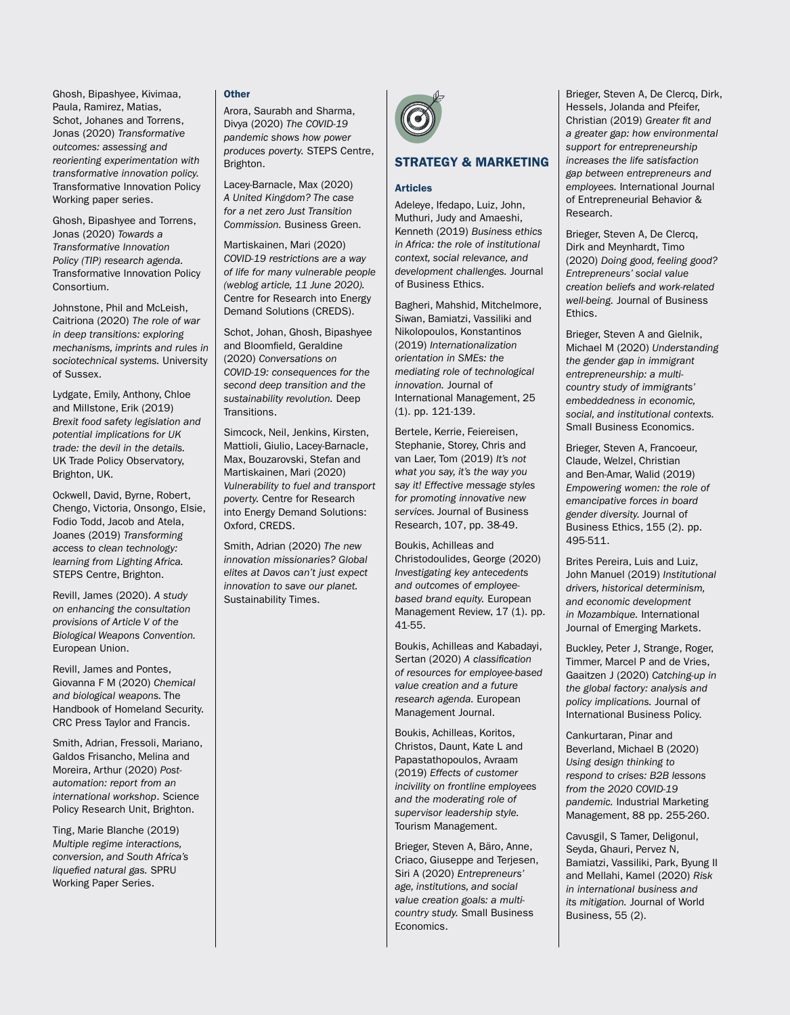Ghosh, Bipashyee, Kivimaa, Paula, Ramirez, Matias, Schot, Johanes and Torrens, Jonas (2020) *Transformative outcomes: assessing and reorienting experimentation with transformative innovation policy.* Transformative Innovation Policy Working paper series.

Ghosh, Bipashyee and Torrens, Jonas (2020) *Towards a Transformative Innovation Policy (TIP) research agenda.*  Transformative Innovation Policy Consortium.

Johnstone, Phil and McLeish, Caitriona (2020) *The role of war in deep transitions: exploring mechanisms, imprints and rules in sociotechnical systems.* University of Sussex.

Lydgate, Emily, Anthony, Chloe and Millstone, Erik (2019) *Brexit food safety legislation and potential implications for UK trade: the devil in the details.*  UK Trade Policy Observatory, Brighton, UK.

Ockwell, David, Byrne, Robert, Chengo, Victoria, Onsongo, Elsie, Fodio Todd, Jacob and Atela, Joanes (2019) *Transforming access to clean technology: learning from Lighting Africa.* STEPS Centre, Brighton.

Revill, James (2020). *A study on enhancing the consultation provisions of Article V of the Biological Weapons Convention.* European Union.

Revill, James and Pontes, Giovanna F M (2020) *Chemical and biological weapons.* The Handbook of Homeland Security. CRC Press Taylor and Francis.

Smith, Adrian, Fressoli, Mariano, Galdos Frisancho, Melina and Moreira, Arthur (2020) *Postautomation: report from an international workshop*. Science Policy Research Unit, Brighton.

Ting, Marie Blanche (2019) *Multiple regime interactions, conversion, and South Africa's liquefied natural gas.* SPRU Working Paper Series.

#### **Other**

Arora, Saurabh and Sharma, Divya (2020) *The COVID-19 pandemic shows how power produces poverty.* STEPS Centre, Brighton.

Lacey-Barnacle, Max (2020) *A United Kingdom? The case for a net zero Just Transition Commission.* Business Green.

Martiskainen, Mari (2020) *COVID-19 restrictions are a way of life for many vulnerable people (weblog article, 11 June 2020).*  Centre for Research into Energy Demand Solutions (CREDS).

Schot, Johan, Ghosh, Bipashyee and Bloomfield, Geraldine (2020) *Conversations on COVID-19: consequences for the second deep transition and the sustainability revolution.* Deep Transitions.

Simcock, Neil, Jenkins, Kirsten, Mattioli, Giulio, Lacey-Barnacle, Max, Bouzarovski, Stefan and Martiskainen, Mari (2020) *Vulnerability to fuel and transport poverty.* Centre for Research into Energy Demand Solutions: Oxford, CREDS.

Smith, Adrian (2020) *The new innovation missionaries? Global elites at Davos can't just expect innovation to save our planet.* Sustainability Times.



# STRATEGY & MARKETING

#### Articles

Adeleye, Ifedapo, Luiz, John, Muthuri, Judy and Amaeshi, Kenneth (2019) *Business ethics in Africa: the role of institutional context, social relevance, and development challenges.* Journal of Business Ethics.

Bagheri, Mahshid, Mitchelmore, Siwan, Bamiatzi, Vassiliki and Nikolopoulos, Konstantinos (2019) *Internationalization orientation in SMEs: the mediating role of technological innovation.* Journal of International Management, 25 (1). pp. 121-139.

Bertele, Kerrie, Feiereisen, Stephanie, Storey, Chris and van Laer, Tom (2019) *It's not what you say, it's the way you say it! Effective message styles for promoting innovative new services.* Journal of Business Research, 107, pp. 38-49.

Boukis, Achilleas and Christodoulides, George (2020) *Investigating key antecedents and outcomes of employeebased brand equity.* European Management Review, 17 (1). pp. 41-55.

Boukis, Achilleas and Kabadayi, Sertan (2020) *A classification of resources for employee-based value creation and a future research agenda.* European Management Journal.

Boukis, Achilleas, Koritos, Christos, Daunt, Kate L and Papastathopoulos, Avraam (2019) *Effects of customer incivility on frontline employees and the moderating role of supervisor leadership style.* Tourism Management.

Brieger, Steven A, Bäro, Anne, Criaco, Giuseppe and Terjesen, Siri A (2020) *Entrepreneurs' age, institutions, and social value creation goals: a multicountry study.* Small Business Economics.

Brieger, Steven A, De Clercq, Dirk, Hessels, Jolanda and Pfeifer, Christian (2019) *Greater fit and a greater gap: how environmental support for entrepreneurship increases the life satisfaction gap between entrepreneurs and employees.* International Journal of Entrepreneurial Behavior & Research.

Brieger, Steven A, De Clercq, Dirk and Meynhardt, Timo (2020) *Doing good, feeling good? Entrepreneurs' social value creation beliefs and work-related well-being.* Journal of Business Ethics.

Brieger, Steven A and Gielnik, Michael M (2020) *Understanding the gender gap in immigrant entrepreneurship: a multicountry study of immigrants' embeddedness in economic, social, and institutional contexts.* Small Business Economics.

Brieger, Steven A, Francoeur, Claude, Welzel, Christian and Ben-Amar, Walid (2019) *Empowering women: the role of emancipative forces in board gender diversity.* Journal of Business Ethics, 155 (2). pp. 495-511.

Brites Pereira, Luis and Luiz, John Manuel (2019) *Institutional drivers, historical determinism, and economic development in Mozambique.* International Journal of Emerging Markets.

Buckley, Peter J, Strange, Roger, Timmer, Marcel P and de Vries, Gaaitzen J (2020) *Catching-up in the global factory: analysis and policy implications.* Journal of International Business Policy.

Cankurtaran, Pinar and Beverland, Michael B (2020) *Using design thinking to respond to crises: B2B lessons from the 2020 COVID-19 pandemic.* Industrial Marketing Management, 88 pp. 255-260.

Cavusgil, S Tamer, Deligonul, Seyda, Ghauri, Pervez N, Bamiatzi, Vassiliki, Park, Byung II and Mellahi, Kamel (2020) *Risk in international business and its mitigation.* Journal of World Business, 55 (2).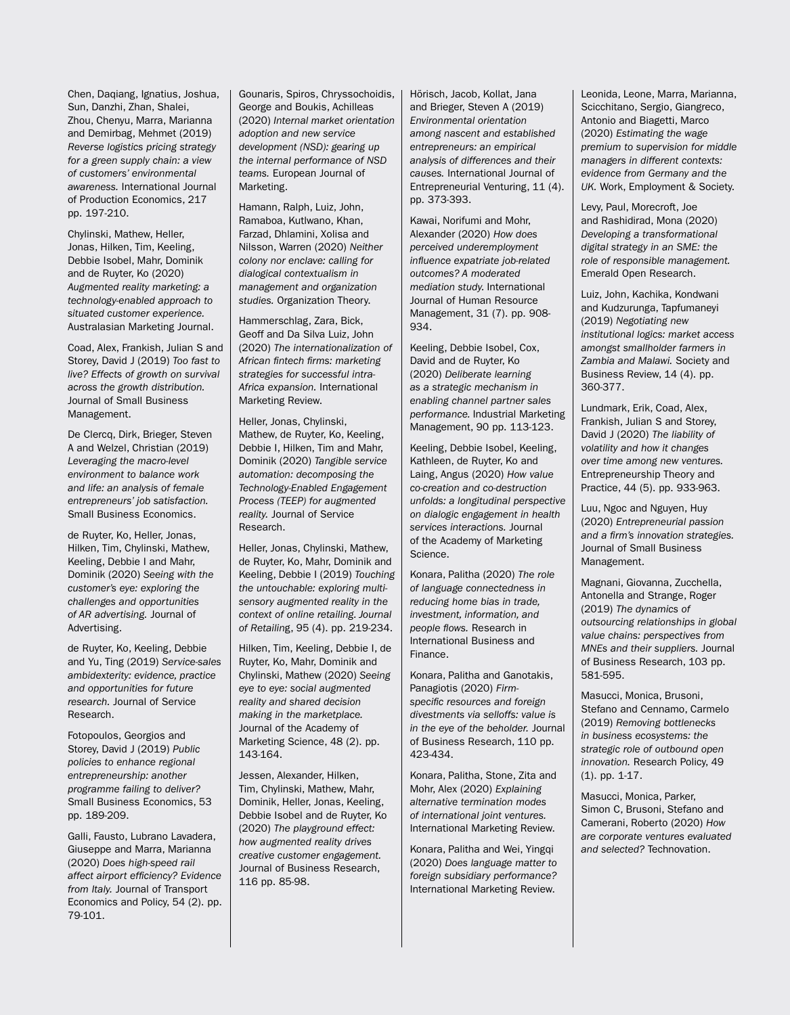Chen, Daqiang, Ignatius, Joshua, Sun, Danzhi, Zhan, Shalei, Zhou, Chenyu, Marra, Marianna and Demirbag, Mehmet (2019) *Reverse logistics pricing strategy for a green supply chain: a view of customers' environmental awareness.* International Journal of Production Economics, 217 pp. 197-210.

Chylinski, Mathew, Heller, Jonas, Hilken, Tim, Keeling, Debbie Isobel, Mahr, Dominik and de Ruyter, Ko (2020) *Augmented reality marketing: a technology-enabled approach to situated customer experience.* Australasian Marketing Journal.

Coad, Alex, Frankish, Julian S and Storey, David J (2019) *Too fast to live? Effects of growth on survival across the growth distribution.* Journal of Small Business Management.

De Clercq, Dirk, Brieger, Steven A and Welzel, Christian (2019) *Leveraging the macro-level environment to balance work and life: an analysis of female entrepreneurs' job satisfaction.* Small Business Economics.

de Ruyter, Ko, Heller, Jonas, Hilken, Tim, Chylinski, Mathew, Keeling, Debbie I and Mahr, Dominik (2020) *Seeing with the customer's eye: exploring the challenges and opportunities of AR advertising.* Journal of Advertising.

de Ruyter, Ko, Keeling, Debbie and Yu, Ting (2019) *Service-sales ambidexterity: evidence, practice and opportunities for future research.* Journal of Service Research.

Fotopoulos, Georgios and Storey, David J (2019) *Public policies to enhance regional entrepreneurship: another programme failing to deliver?* Small Business Economics, 53 pp. 189-209.

Galli, Fausto, Lubrano Lavadera, Giuseppe and Marra, Marianna (2020) *Does high-speed rail affect airport efficiency? Evidence from Italy.* Journal of Transport Economics and Policy, 54 (2). pp. 79-101.

Gounaris, Spiros, Chryssochoidis, George and Boukis, Achilleas (2020) *Internal market orientation adoption and new service development (NSD): gearing up the internal performance of NSD teams.* European Journal of Marketing.

Hamann, Ralph, Luiz, John, Ramaboa, Kutlwano, Khan, Farzad, Dhlamini, Xolisa and Nilsson, Warren (2020) *Neither colony nor enclave: calling for dialogical contextualism in management and organization studies.* Organization Theory.

Hammerschlag, Zara, Bick, Geoff and Da Silva Luiz, John (2020) *The internationalization of African fintech firms: marketing strategies for successful intra-Africa expansion.* International Marketing Review.

Heller, Jonas, Chylinski, Mathew, de Ruyter, Ko, Keeling, Debbie I, Hilken, Tim and Mahr, Dominik (2020) *Tangible service automation: decomposing the Technology-Enabled Engagement Process (TEEP) for augmented reality.* Journal of Service Research.

Heller, Jonas, Chylinski, Mathew, de Ruyter, Ko, Mahr, Dominik and Keeling, Debbie I (2019) *Touching the untouchable: exploring multisensory augmented reality in the context of online retailing. Journal of Retailin*g, 95 (4). pp. 219-234.

Hilken, Tim, Keeling, Debbie I, de Ruyter, Ko, Mahr, Dominik and Chylinski, Mathew (2020) *Seeing eye to eye: social augmented reality and shared decision making in the marketplace.* Journal of the Academy of Marketing Science, 48 (2). pp. 143-164.

Jessen, Alexander, Hilken, Tim, Chylinski, Mathew, Mahr, Dominik, Heller, Jonas, Keeling, Debbie Isobel and de Ruyter, Ko (2020) *The playground effect: how augmented reality drives creative customer engagement.* Journal of Business Research, 116 pp. 85-98.

Hörisch, Jacob, Kollat, Jana and Brieger, Steven A (2019) *Environmental orientation among nascent and established entrepreneurs: an empirical analysis of differences and their causes.* International Journal of Entrepreneurial Venturing, 11 (4). pp. 373-393.

Kawai, Norifumi and Mohr, Alexander (2020) *How does perceived underemployment influence expatriate job-related outcomes? A moderated mediation study.* International Journal of Human Resource Management, 31 (7). pp. 908- 934.

Keeling, Debbie Isobel, Cox, David and de Ruyter, Ko (2020) *Deliberate learning as a strategic mechanism in enabling channel partner sales performance.* Industrial Marketing Management, 90 pp. 113-123.

Keeling, Debbie Isobel, Keeling, Kathleen, de Ruyter, Ko and Laing, Angus (2020) *How value co-creation and co-destruction unfolds: a longitudinal perspective on dialogic engagement in health services interactions.* Journal of the Academy of Marketing Science.

Konara, Palitha (2020) *The role of language connectedness in reducing home bias in trade, investment, information, and people flows.* Research in International Business and Finance.

Konara, Palitha and Ganotakis, Panagiotis (2020) *Firmspecific resources and foreign divestments via selloffs: value is in the eye of the beholder.* Journal of Business Research, 110 pp. 423-434.

Konara, Palitha, Stone, Zita and Mohr, Alex (2020) *Explaining alternative termination modes of international joint ventures.*  International Marketing Review.

Konara, Palitha and Wei, Yingqi (2020) *Does language matter to foreign subsidiary performance?* International Marketing Review.

Leonida, Leone, Marra, Marianna, Scicchitano, Sergio, Giangreco, Antonio and Biagetti, Marco (2020) *Estimating the wage premium to supervision for middle managers in different contexts: evidence from Germany and the UK.* Work, Employment & Society.

Levy, Paul, Morecroft, Joe and Rashidirad, Mona (2020) *Developing a transformational digital strategy in an SME: the role of responsible management.*  Emerald Open Research.

Luiz, John, Kachika, Kondwani and Kudzurunga, Tapfumaneyi (2019) *Negotiating new institutional logics: market access amongst smallholder farmers in Zambia and Malawi.* Society and Business Review, 14 (4). pp. 360-377.

Lundmark, Erik, Coad, Alex, Frankish, Julian S and Storey, David J (2020) *The liability of volatility and how it changes over time among new ventures.*  Entrepreneurship Theory and Practice, 44 (5). pp. 933-963.

Luu, Ngoc and Nguyen, Huy (2020) *Entrepreneurial passion and a firm's innovation strategies.* Journal of Small Business Management.

Magnani, Giovanna, Zucchella, Antonella and Strange, Roger (2019) *The dynamics of outsourcing relationships in global value chains: perspectives from MNEs and their suppliers.* Journal of Business Research, 103 pp. 581-595.

Masucci, Monica, Brusoni, Stefano and Cennamo, Carmelo (2019) *Removing bottlenecks in business ecosystems: the strategic role of outbound open innovation.* Research Policy, 49 (1). pp. 1-17.

Masucci, Monica, Parker, Simon C, Brusoni, Stefano and Camerani, Roberto (2020) *How are corporate ventures evaluated and selected?* Technovation.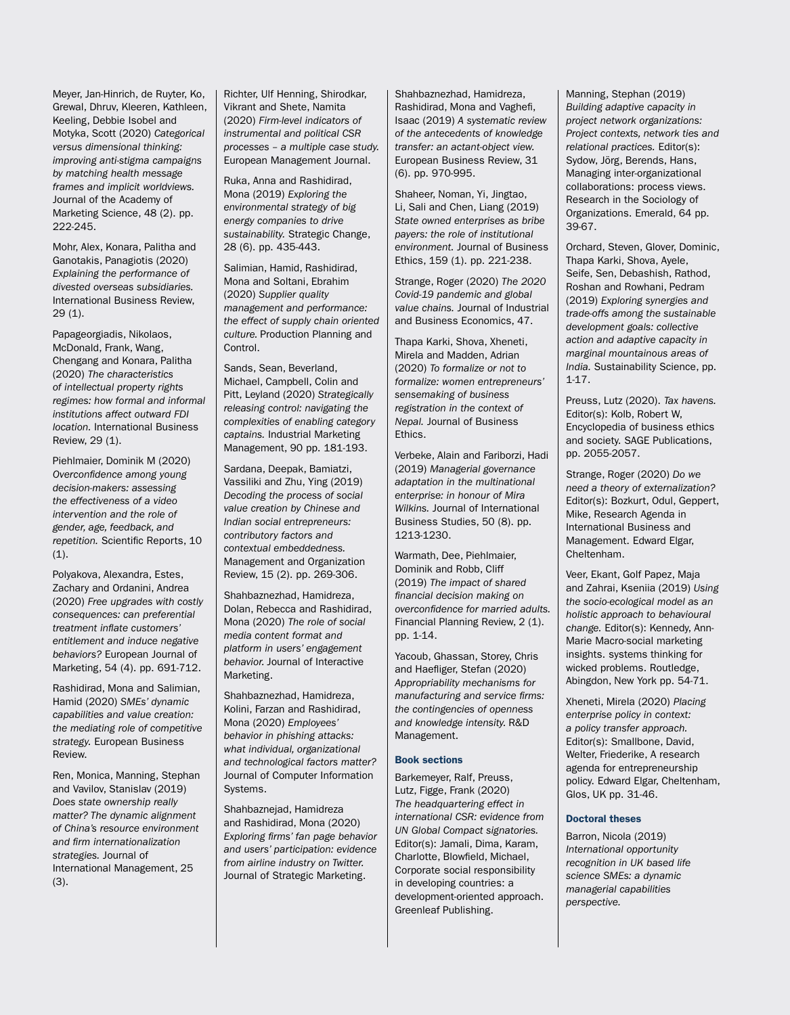Meyer, Jan-Hinrich, de Ruyter, Ko, Grewal, Dhruv, Kleeren, Kathleen, Keeling, Debbie Isobel and Motyka, Scott (2020) *Categorical versus dimensional thinking: improving anti-stigma campaigns by matching health message frames and implicit worldviews.* Journal of the Academy of Marketing Science, 48 (2). pp. 222-245.

Mohr, Alex, Konara, Palitha and Ganotakis, Panagiotis (2020) *Explaining the performance of divested overseas subsidiaries.* International Business Review, 29 (1).

Papageorgiadis, Nikolaos, McDonald, Frank, Wang, Chengang and Konara, Palitha (2020) *The characteristics of intellectual property rights regimes: how formal and informal institutions affect outward FDI location.* International Business Review, 29 (1).

Piehlmaier, Dominik M (2020) *Overconfidence among young decision-makers: assessing the effectiveness of a video intervention and the role of gender, age, feedback, and repetition.* Scientific Reports, 10 (1).

Polyakova, Alexandra, Estes, Zachary and Ordanini, Andrea (2020) *Free upgrades with costly consequences: can preferential treatment inflate customers' entitlement and induce negative behaviors?* European Journal of Marketing, 54 (4). pp. 691-712.

Rashidirad, Mona and Salimian, Hamid (2020) *SMEs' dynamic capabilities and value creation: the mediating role of competitive strategy.* European Business Review.

Ren, Monica, Manning, Stephan and Vavilov, Stanislav (2019) *Does state ownership really matter? The dynamic alignment of China's resource environment and firm internationalization strategies.* Journal of International Management, 25 (3).

Richter, Ulf Henning, Shirodkar, Vikrant and Shete, Namita (2020) *Firm-level indicators of instrumental and political CSR processes – a multiple case study.* European Management Journal.

Ruka, Anna and Rashidirad, Mona (2019) *Exploring the environmental strategy of big energy companies to drive sustainability.* Strategic Change, 28 (6). pp. 435-443.

Salimian, Hamid, Rashidirad, Mona and Soltani, Ebrahim (2020) *Supplier quality management and performance: the effect of supply chain oriented culture.* Production Planning and Control.

Sands, Sean, Beverland, Michael, Campbell, Colin and Pitt, Leyland (2020) *Strategically releasing control: navigating the complexities of enabling category captains.* Industrial Marketing Management, 90 pp. 181-193.

Sardana, Deepak, Bamiatzi, Vassiliki and Zhu, Ying (2019) *Decoding the process of social value creation by Chinese and Indian social entrepreneurs: contributory factors and contextual embeddedness.*  Management and Organization Review, 15 (2). pp. 269-306.

Shahbaznezhad, Hamidreza, Dolan, Rebecca and Rashidirad, Mona (2020) *The role of social media content format and platform in users' engagement behavior.* Journal of Interactive Marketing.

Shahbaznezhad, Hamidreza, Kolini, Farzan and Rashidirad, Mona (2020) *Employees' behavior in phishing attacks: what individual, organizational and technological factors matter?*  Journal of Computer Information Systems.

Shahbaznejad, Hamidreza and Rashidirad, Mona (2020) *Exploring firms' fan page behavior and users' participation: evidence from airline industry on Twitter.* Journal of Strategic Marketing.

Shahbaznezhad, Hamidreza, Rashidirad, Mona and Vaghefi, Isaac (2019) *A systematic review of the antecedents of knowledge transfer: an actant-object view.* European Business Review, 31 (6). pp. 970-995.

Shaheer, Noman, Yi, Jingtao, Li, Sali and Chen, Liang (2019) *State owned enterprises as bribe payers: the role of institutional environment.* Journal of Business Ethics, 159 (1). pp. 221-238.

Strange, Roger (2020) *The 2020 Covid-19 pandemic and global value chains.* Journal of Industrial and Business Economics, 47.

Thapa Karki, Shova, Xheneti, Mirela and Madden, Adrian (2020) *To formalize or not to formalize: women entrepreneurs' sensemaking of business registration in the context of Nepal.* Journal of Business Ethics.

Verbeke, Alain and Fariborzi, Hadi (2019) *Managerial governance adaptation in the multinational enterprise: in honour of Mira Wilkins.* Journal of International Business Studies, 50 (8). pp. 1213-1230.

Warmath, Dee, Piehlmaier, Dominik and Robb, Cliff (2019) *The impact of shared financial decision making on overconfidence for married adults.* Financial Planning Review, 2 (1). pp. 1-14.

Yacoub, Ghassan, Storey, Chris and Haefliger, Stefan (2020) *Appropriability mechanisms for manufacturing and service firms: the contingencies of openness and knowledge intensity.* R&D Management.

# Book sections

Barkemeyer, Ralf, Preuss, Lutz, Figge, Frank (2020) *The headquartering effect in international CSR: evidence from UN Global Compact signatories.*  Editor(s): Jamali, Dima, Karam, Charlotte, Blowfield, Michael, Corporate social responsibility in developing countries: a development-oriented approach. Greenleaf Publishing.

Manning, Stephan (2019) *Building adaptive capacity in project network organizations: Project contexts, network ties and relational practices.* Editor(s): Sydow, Jörg, Berends, Hans, Managing inter-organizational collaborations: process views. Research in the Sociology of Organizations. Emerald, 64 pp. 39-67.

Orchard, Steven, Glover, Dominic, Thapa Karki, Shova, Ayele, Seife, Sen, Debashish, Rathod, Roshan and Rowhani, Pedram (2019) *Exploring synergies and trade-offs among the sustainable development goals: collective action and adaptive capacity in marginal mountainous areas of India.* Sustainability Science, pp. 1-17.

Preuss, Lutz (2020). *Tax havens.* Editor(s): Kolb, Robert W, Encyclopedia of business ethics and society. SAGE Publications, pp. 2055-2057.

Strange, Roger (2020) *Do we need a theory of externalization?* Editor(s): Bozkurt, Odul, Geppert, Mike, Research Agenda in International Business and Management. Edward Elgar, Cheltenham.

Veer, Ekant, Golf Papez, Maja and Zahrai, Kseniia (2019) *Using the socio-ecological model as an holistic approach to behavioural change.* Editor(s): Kennedy, Ann-Marie Macro-social marketing insights. systems thinking for wicked problems. Routledge, Abingdon, New York pp. 54-71.

Xheneti, Mirela (2020) *Placing enterprise policy in context: a policy transfer approach.* Editor(s): Smallbone, David, Welter, Friederike, A research agenda for entrepreneurship policy. Edward Elgar, Cheltenham, Glos, UK pp. 31-46.

#### Doctoral theses

Barron, Nicola (2019) *International opportunity recognition in UK based life science SMEs: a dynamic managerial capabilities perspective.*